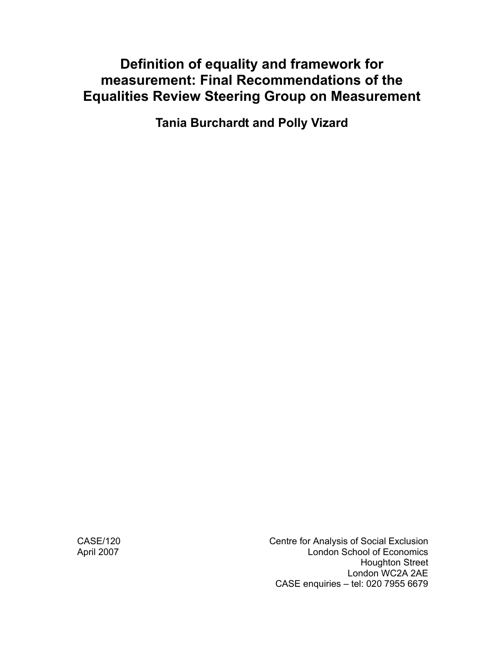# **Definition of equality and framework for measurement: Final Recommendations of the Equalities Review Steering Group on Measurement**

**Tania Burchardt and Polly Vizard** 

CASE/120 Centre for Analysis of Social Exclusion April 2007 **April 2007** London School of Economics Houghton Street London WC2A 2AE CASE enquiries – tel: 020 7955 6679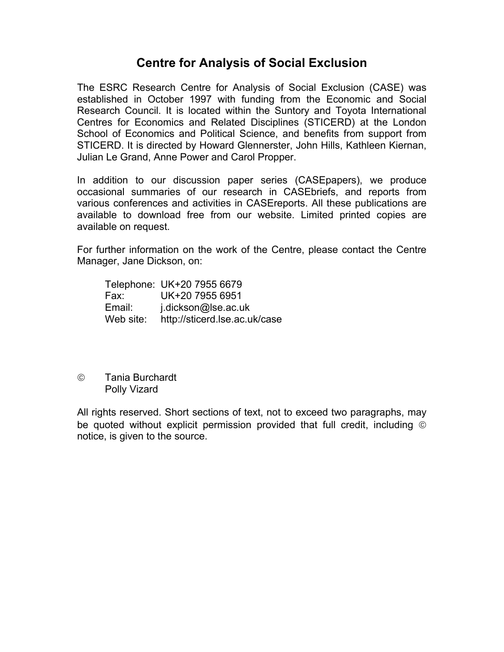# **Centre for Analysis of Social Exclusion**

The ESRC Research Centre for Analysis of Social Exclusion (CASE) was established in October 1997 with funding from the Economic and Social Research Council. It is located within the Suntory and Toyota International Centres for Economics and Related Disciplines (STICERD) at the London School of Economics and Political Science, and benefits from support from STICERD. It is directed by Howard Glennerster, John Hills, Kathleen Kiernan, Julian Le Grand, Anne Power and Carol Propper.

In addition to our discussion paper series (CASEpapers), we produce occasional summaries of our research in CASEbriefs, and reports from various conferences and activities in CASEreports. All these publications are available to download free from our website. Limited printed copies are available on request.

For further information on the work of the Centre, please contact the Centre Manager, Jane Dickson, on:

|           | Telephone: UK+20 7955 6679    |
|-----------|-------------------------------|
| Fax:      | UK+20 7955 6951               |
| Email:    | j.dickson@lse.ac.uk           |
| Web site: | http://sticerd.lse.ac.uk/case |

© Tania Burchardt Polly Vizard

All rights reserved. Short sections of text, not to exceed two paragraphs, may be quoted without explicit permission provided that full credit, including © notice, is given to the source.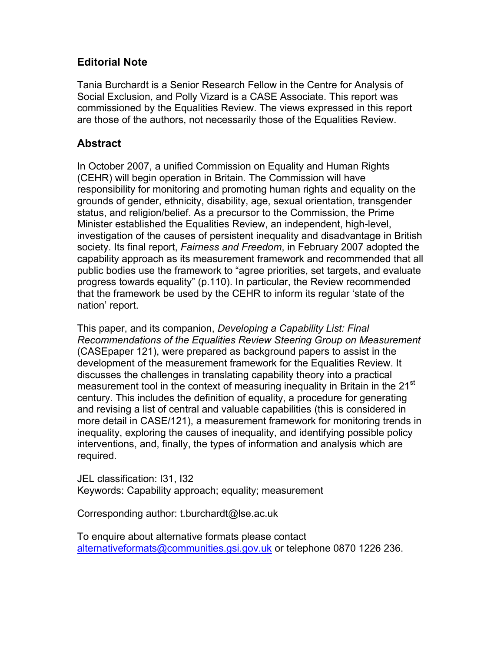# **Editorial Note**

Tania Burchardt is a Senior Research Fellow in the Centre for Analysis of Social Exclusion, and Polly Vizard is a CASE Associate. This report was commissioned by the Equalities Review. The views expressed in this report are those of the authors, not necessarily those of the Equalities Review.

## **Abstract**

In October 2007, a unified Commission on Equality and Human Rights (CEHR) will begin operation in Britain. The Commission will have responsibility for monitoring and promoting human rights and equality on the grounds of gender, ethnicity, disability, age, sexual orientation, transgender status, and religion/belief. As a precursor to the Commission, the Prime Minister established the Equalities Review, an independent, high-level, investigation of the causes of persistent inequality and disadvantage in British society. Its final report, *Fairness and Freedom*, in February 2007 adopted the capability approach as its measurement framework and recommended that all public bodies use the framework to "agree priorities, set targets, and evaluate progress towards equality" (p.110). In particular, the Review recommended that the framework be used by the CEHR to inform its regular 'state of the nation' report.

This paper, and its companion, *Developing a Capability List: Final Recommendations of the Equalities Review Steering Group on Measurement* (CASEpaper 121), were prepared as background papers to assist in the development of the measurement framework for the Equalities Review. It discusses the challenges in translating capability theory into a practical measurement tool in the context of measuring inequality in Britain in the 21<sup>st</sup> century. This includes the definition of equality, a procedure for generating and revising a list of central and valuable capabilities (this is considered in more detail in CASE/121), a measurement framework for monitoring trends in inequality, exploring the causes of inequality, and identifying possible policy interventions, and, finally, the types of information and analysis which are required.

JEL classification: I31, I32 Keywords: Capability approach; equality; measurement

Corresponding author: t.burchardt@lse.ac.uk

To enquire about alternative formats please contact alternativeformats@communities.gsi.gov.uk or telephone 0870 1226 236.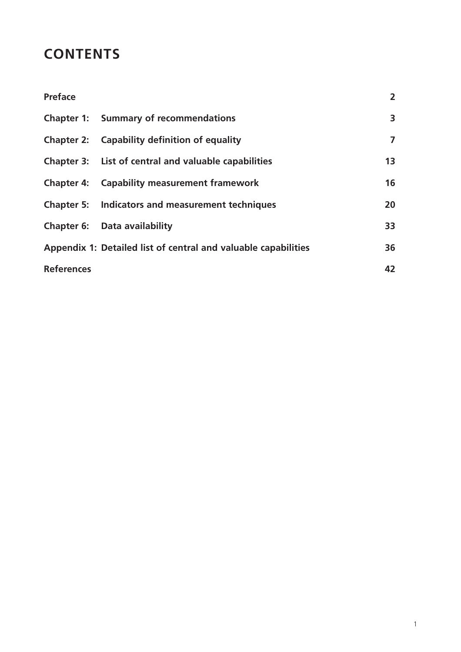# **CONTENTS**

| <b>Preface</b>    |                                                                | $\overline{2}$          |
|-------------------|----------------------------------------------------------------|-------------------------|
|                   | <b>Chapter 1: Summary of recommendations</b>                   | $\overline{\mathbf{3}}$ |
|                   | <b>Chapter 2:</b> Capability definition of equality            | $\overline{ }$          |
|                   | Chapter 3: List of central and valuable capabilities           | 13                      |
|                   | <b>Chapter 4: Capability measurement framework</b>             | 16                      |
|                   | <b>Chapter 5: Indicators and measurement techniques</b>        | 20                      |
|                   | <b>Chapter 6: Data availability</b>                            | 33                      |
|                   | Appendix 1: Detailed list of central and valuable capabilities | 36                      |
| <b>References</b> |                                                                | 42                      |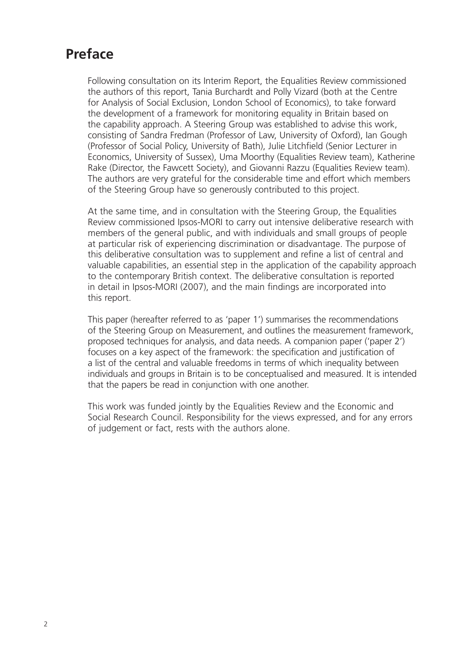# **Preface**

Following consultation on its Interim Report, the Equalities Review commissioned the authors of this report, Tania Burchardt and Polly Vizard (both at the Centre for Analysis of Social Exclusion, London School of Economics), to take forward the development of a framework for monitoring equality in Britain based on the capability approach. A Steering Group was established to advise this work, consisting of Sandra Fredman (Professor of Law, University of Oxford), Ian Gough (Professor of Social Policy, University of Bath), Julie Litchfield (Senior Lecturer in Economics, University of Sussex), Uma Moorthy (Equalities Review team), Katherine Rake (Director, the Fawcett Society), and Giovanni Razzu (Equalities Review team). The authors are very grateful for the considerable time and effort which members of the Steering Group have so generously contributed to this project.

At the same time, and in consultation with the Steering Group, the Equalities Review commissioned Ipsos-MORI to carry out intensive deliberative research with members of the general public, and with individuals and small groups of people at particular risk of experiencing discrimination or disadvantage. The purpose of this deliberative consultation was to supplement and refine a list of central and valuable capabilities, an essential step in the application of the capability approach to the contemporary British context. The deliberative consultation is reported in detail in Ipsos-MORI (2007), and the main findings are incorporated into this report.

This paper (hereafter referred to as 'paper 1') summarises the recommendations of the Steering Group on Measurement, and outlines the measurement framework, proposed techniques for analysis, and data needs. A companion paper ('paper 2') focuses on a key aspect of the framework: the specification and justification of a list of the central and valuable freedoms in terms of which inequality between individuals and groups in Britain is to be conceptualised and measured. It is intended that the papers be read in conjunction with one another.

This work was funded jointly by the Equalities Review and the Economic and Social Research Council. Responsibility for the views expressed, and for any errors of judgement or fact, rests with the authors alone.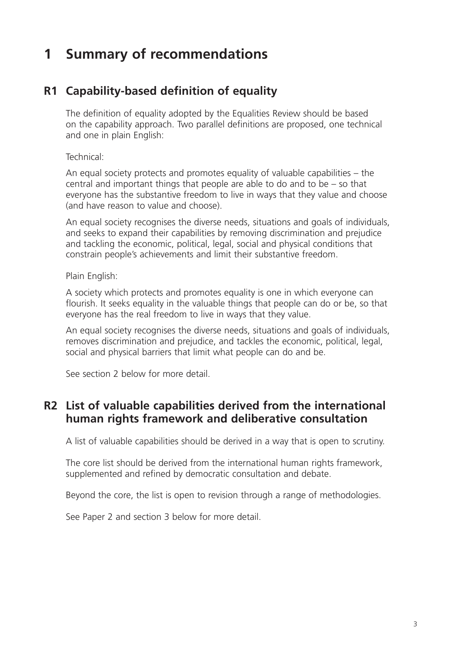# **1 Summary of recommendations**

# **R1 Capability-based definition of equality**

The definition of equality adopted by the Equalities Review should be based on the capability approach. Two parallel definitions are proposed, one technical and one in plain English:

Technical:

An equal society protects and promotes equality of valuable capabilities – the central and important things that people are able to do and to be  $-$  so that everyone has the substantive freedom to live in ways that they value and choose (and have reason to value and choose).

An equal society recognises the diverse needs, situations and goals of individuals, and seeks to expand their capabilities by removing discrimination and prejudice and tackling the economic, political, legal, social and physical conditions that constrain people's achievements and limit their substantive freedom.

Plain English:

A society which protects and promotes equality is one in which everyone can flourish. It seeks equality in the valuable things that people can do or be, so that everyone has the real freedom to live in ways that they value.

An equal society recognises the diverse needs, situations and goals of individuals, removes discrimination and prejudice, and tackles the economic, political, legal, social and physical barriers that limit what people can do and be.

See section 2 below for more detail.

# **R2 List of valuable capabilities derived from the international human rights framework and deliberative consultation**

A list of valuable capabilities should be derived in a way that is open to scrutiny.

The core list should be derived from the international human rights framework, supplemented and refined by democratic consultation and debate.

Beyond the core, the list is open to revision through a range of methodologies.

See Paper 2 and section 3 below for more detail.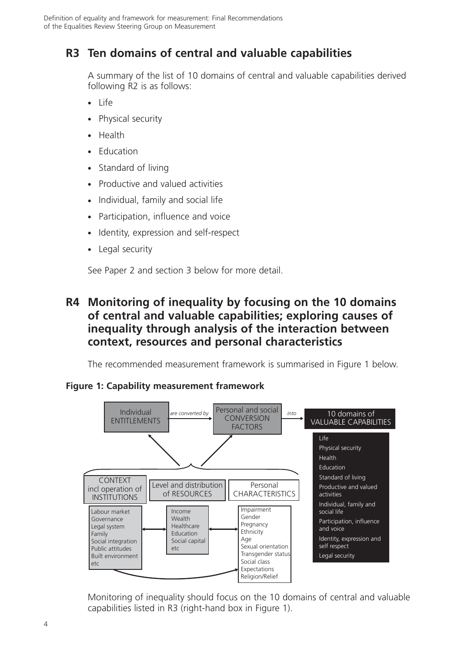# **R3 Ten domains of central and valuable capabilities**

A summary of the list of 10 domains of central and valuable capabilities derived following R2 is as follows:

- Life
- Physical security
- Health
- Education
- $\bullet$ Standard of living
- $\bullet$ Productive and valued activities
- $\bullet$ Individual, family and social life
- Participation, influence and voice
- Identity, expression and self-respect
- Legal security

See Paper 2 and section 3 below for more detail.

# **R4 Monitoring of inequality by focusing on the 10 domains of central and valuable capabilities; exploring causes of inequality through analysis of the interaction between context, resources and personal characteristics**

The recommended measurement framework is summarised in Figure 1 below.

## **Figure 1: Capability measurement framework**



Monitoring of inequality should focus on the 10 domains of central and valuable capabilities listed in R3 (right-hand box in Figure 1).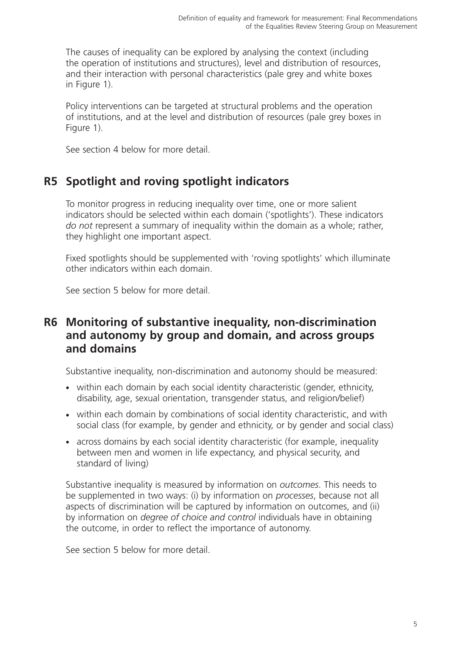The causes of inequality can be explored by analysing the context (including the operation of institutions and structures), level and distribution of resources, and their interaction with personal characteristics (pale grey and white boxes in Figure 1).

Policy interventions can be targeted at structural problems and the operation of institutions, and at the level and distribution of resources (pale grey boxes in Figure 1).

See section 4 below for more detail.

# **R5 Spotlight and roving spotlight indicators**

To monitor progress in reducing inequality over time, one or more salient indicators should be selected within each domain ('spotlights'). These indicators *do not* represent a summary of inequality within the domain as a whole; rather, they highlight one important aspect.

Fixed spotlights should be supplemented with 'roving spotlights' which illuminate other indicators within each domain.

See section 5 below for more detail.

# **R6 Monitoring of substantive inequality, non-discrimination and autonomy by group and domain, and across groups and domains**

Substantive inequality, non-discrimination and autonomy should be measured:

- within each domain by each social identity characteristic (gender, ethnicity, disability, age, sexual orientation, transgender status, and religion/belief)
- within each domain by combinations of social identity characteristic, and with social class (for example, by gender and ethnicity, or by gender and social class)
- across domains by each social identity characteristic (for example, inequality between men and women in life expectancy, and physical security, and standard of living)

Substantive inequality is measured by information on *outcomes*. This needs to be supplemented in two ways: (i) by information on *processes*, because not all aspects of discrimination will be captured by information on outcomes, and (ii) by information on *degree of choice and control* individuals have in obtaining the outcome, in order to reflect the importance of autonomy.

See section 5 below for more detail.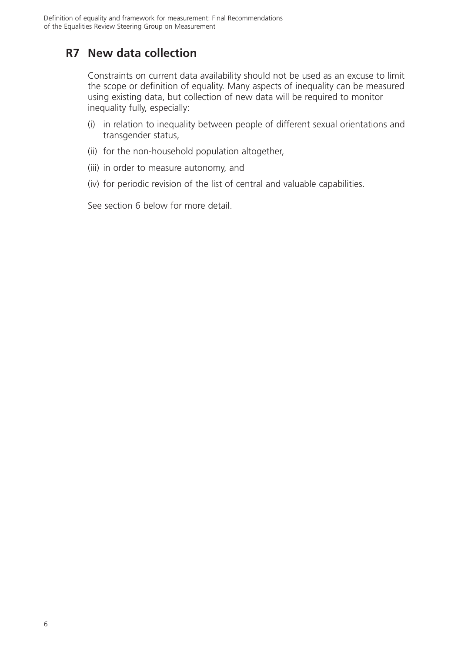# **R7 New data collection**

Constraints on current data availability should not be used as an excuse to limit the scope or definition of equality. Many aspects of inequality can be measured using existing data, but collection of new data will be required to monitor inequality fully, especially:

- (i) in relation to inequality between people of different sexual orientations and transgender status,
- (ii) for the non-household population altogether,
- (iii) in order to measure autonomy, and
- (iv) for periodic revision of the list of central and valuable capabilities.

See section 6 below for more detail.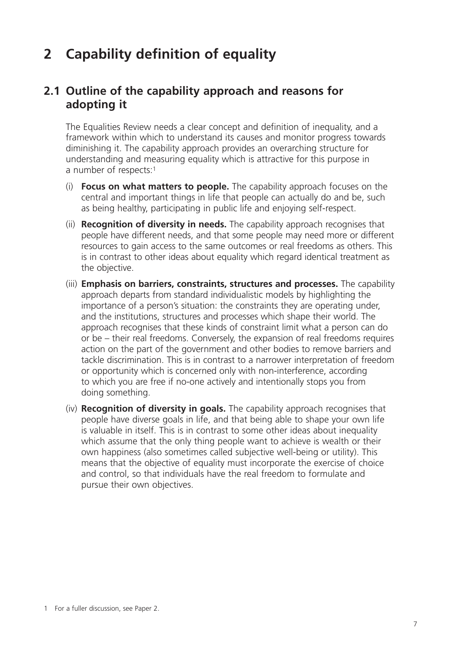# **2 Capability definition of equality**

# **2.1 Outline of the capability approach and reasons for adopting it**

The Equalities Review needs a clear concept and definition of inequality, and a framework within which to understand its causes and monitor progress towards diminishing it. The capability approach provides an overarching structure for understanding and measuring equality which is attractive for this purpose in a number of respects:<sup>1</sup>

- (i) **Focus on what matters to people.** The capability approach focuses on the central and important things in life that people can actually do and be, such as being healthy, participating in public life and enjoying self-respect.
- (ii) **Recognition of diversity in needs.** The capability approach recognises that people have different needs, and that some people may need more or different resources to gain access to the same outcomes or real freedoms as others. This is in contrast to other ideas about equality which regard identical treatment as the objective.
- (iii) **Emphasis on barriers, constraints, structures and processes.** The capability approach departs from standard individualistic models by highlighting the importance of a person's situation: the constraints they are operating under, and the institutions, structures and processes which shape their world. The approach recognises that these kinds of constraint limit what a person can do or be – their real freedoms. Conversely, the expansion of real freedoms requires action on the part of the government and other bodies to remove barriers and tackle discrimination. This is in contrast to a narrower interpretation of freedom or opportunity which is concerned only with non-interference, according to which you are free if no-one actively and intentionally stops you from doing something.
- (iv) **Recognition of diversity in goals.** The capability approach recognises that people have diverse goals in life, and that being able to shape your own life is valuable in itself. This is in contrast to some other ideas about inequality which assume that the only thing people want to achieve is wealth or their own happiness (also sometimes called subjective well-being or utility). This means that the objective of equality must incorporate the exercise of choice and control, so that individuals have the real freedom to formulate and pursue their own objectives.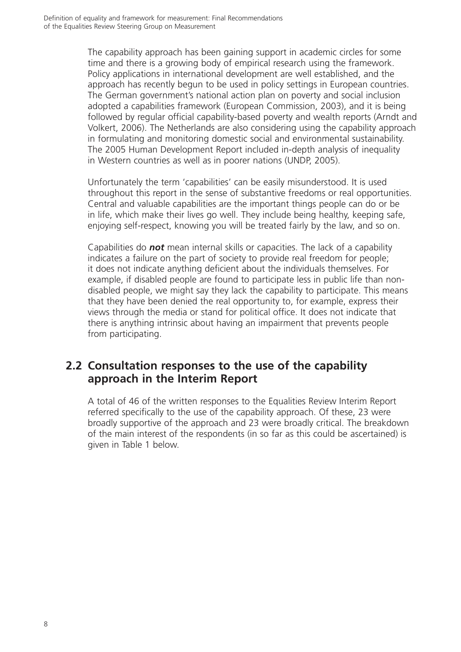The capability approach has been gaining support in academic circles for some time and there is a growing body of empirical research using the framework. Policy applications in international development are well established, and the approach has recently begun to be used in policy settings in European countries. The German government's national action plan on poverty and social inclusion adopted a capabilities framework (European Commission, 2003), and it is being followed by regular official capability-based poverty and wealth reports (Arndt and Volkert, 2006). The Netherlands are also considering using the capability approach in formulating and monitoring domestic social and environmental sustainability. The 2005 Human Development Report included in-depth analysis of inequality in Western countries as well as in poorer nations (UNDP, 2005).

Unfortunately the term 'capabilities' can be easily misunderstood. It is used throughout this report in the sense of substantive freedoms or real opportunities. Central and valuable capabilities are the important things people can do or be in life, which make their lives go well. They include being healthy, keeping safe, enjoying self-respect, knowing you will be treated fairly by the law, and so on.

Capabilities do *not* mean internal skills or capacities. The lack of a capability indicates a failure on the part of society to provide real freedom for people; it does not indicate anything deficient about the individuals themselves. For example, if disabled people are found to participate less in public life than nondisabled people, we might say they lack the capability to participate. This means that they have been denied the real opportunity to, for example, express their views through the media or stand for political office. It does not indicate that there is anything intrinsic about having an impairment that prevents people from participating.

# **2.2 Consultation responses to the use of the capability approach in the Interim Report**

A total of 46 of the written responses to the Equalities Review Interim Report referred specifically to the use of the capability approach. Of these, 23 were broadly supportive of the approach and 23 were broadly critical. The breakdown of the main interest of the respondents (in so far as this could be ascertained) is given in Table 1 below.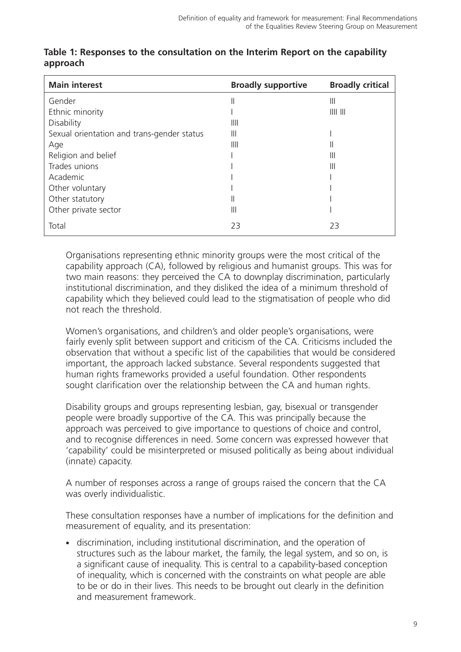| <b>Main interest</b>                       | <b>Broadly supportive</b> | <b>Broadly critical</b> |
|--------------------------------------------|---------------------------|-------------------------|
| Gender                                     | II                        | Ш                       |
| Ethnic minority                            |                           | $III$ $III$             |
| Disability                                 | Ш                         |                         |
| Sexual orientation and trans-gender status | Ш                         |                         |
| Age                                        | $\parallel$               |                         |
| Religion and belief                        |                           | Ш                       |
| Trades unions                              |                           | Ш                       |
| Academic                                   |                           |                         |
| Other voluntary                            |                           |                         |
| Other statutory                            | Ш                         |                         |
| Other private sector                       | Ш                         |                         |
| Total                                      | 23                        | 23                      |

#### **Table 1: Responses to the consultation on the Interim Report on the capability approach**

Organisations representing ethnic minority groups were the most critical of the capability approach (CA), followed by religious and humanist groups. This was for two main reasons: they perceived the CA to downplay discrimination, particularly institutional discrimination, and they disliked the idea of a minimum threshold of capability which they believed could lead to the stigmatisation of people who did not reach the threshold.

Women's organisations, and children's and older people's organisations, were fairly evenly split between support and criticism of the CA. Criticisms included the observation that without a specific list of the capabilities that would be considered important, the approach lacked substance. Several respondents suggested that human rights frameworks provided a useful foundation. Other respondents sought clarification over the relationship between the CA and human rights.

Disability groups and groups representing lesbian, gay, bisexual or transgender people were broadly supportive of the CA. This was principally because the approach was perceived to give importance to questions of choice and control, and to recognise differences in need. Some concern was expressed however that 'capability' could be misinterpreted or misused politically as being about individual (innate) capacity.

A number of responses across a range of groups raised the concern that the CA was overly individualistic.

These consultation responses have a number of implications for the definition and measurement of equality, and its presentation:

- discrimination, including institutional discrimination, and the operation of structures such as the labour market, the family, the legal system, and so on, is a significant cause of inequality. This is central to a capability-based conception of inequality, which is concerned with the constraints on what people are able to be or do in their lives. This needs to be brought out clearly in the definition and measurement framework.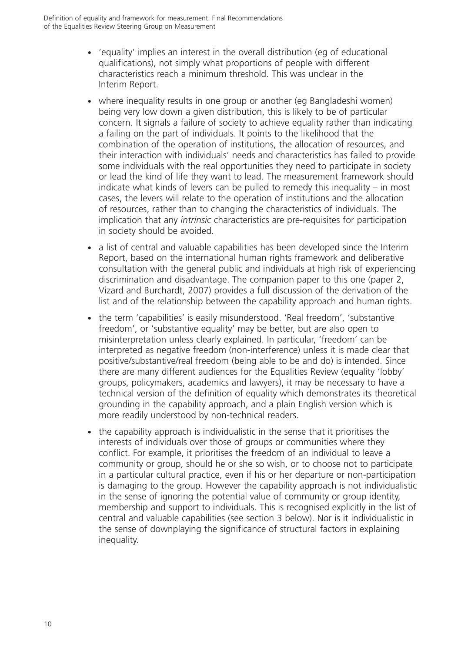- 'equality' implies an interest in the overall distribution (eg of educational qualifications), not simply what proportions of people with different characteristics reach a minimum threshold. This was unclear in the Interim Report.
- where inequality results in one group or another (eg Bangladeshi women) being very low down a given distribution, this is likely to be of particular concern. It signals a failure of society to achieve equality rather than indicating a failing on the part of individuals. It points to the likelihood that the combination of the operation of institutions, the allocation of resources, and their interaction with individuals' needs and characteristics has failed to provide some individuals with the real opportunities they need to participate in society or lead the kind of life they want to lead. The measurement framework should indicate what kinds of levers can be pulled to remedy this inequality – in most cases, the levers will relate to the operation of institutions and the allocation of resources, rather than to changing the characteristics of individuals. The implication that any *intrinsic* characteristics are pre-requisites for participation in society should be avoided.
- a list of central and valuable capabilities has been developed since the Interim Report, based on the international human rights framework and deliberative consultation with the general public and individuals at high risk of experiencing discrimination and disadvantage. The companion paper to this one (paper 2, Vizard and Burchardt, 2007) provides a full discussion of the derivation of the list and of the relationship between the capability approach and human rights.
- the term 'capabilities' is easily misunderstood. 'Real freedom', 'substantive freedom', or 'substantive equality' may be better, but are also open to misinterpretation unless clearly explained. In particular, 'freedom' can be interpreted as negative freedom (non-interference) unless it is made clear that positive/substantive/real freedom (being able to be and do) is intended. Since there are many different audiences for the Equalities Review (equality 'lobby' groups, policymakers, academics and lawyers), it may be necessary to have a technical version of the definition of equality which demonstrates its theoretical grounding in the capability approach, and a plain English version which is more readily understood by non-technical readers.
- the capability approach is individualistic in the sense that it prioritises the interests of individuals over those of groups or communities where they conflict. For example, it prioritises the freedom of an individual to leave a community or group, should he or she so wish, or to choose not to participate in a particular cultural practice, even if his or her departure or non-participation is damaging to the group. However the capability approach is not individualistic in the sense of ignoring the potential value of community or group identity, membership and support to individuals. This is recognised explicitly in the list of central and valuable capabilities (see section 3 below). Nor is it individualistic in the sense of downplaying the significance of structural factors in explaining inequality.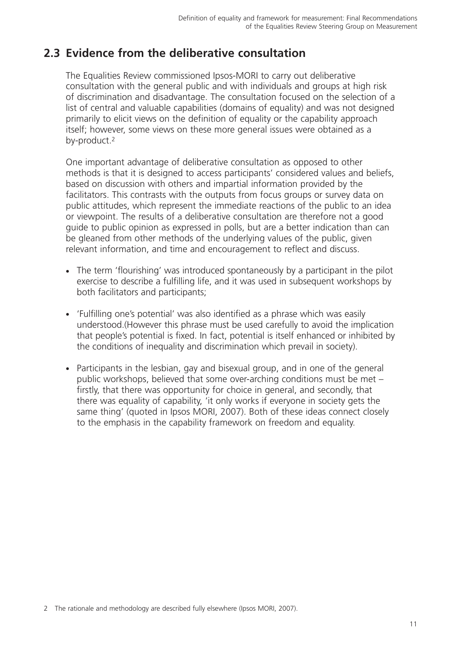# **2.3 Evidence from the deliberative consultation**

The Equalities Review commissioned Ipsos-MORI to carry out deliberative consultation with the general public and with individuals and groups at high risk of discrimination and disadvantage. The consultation focused on the selection of a list of central and valuable capabilities (domains of equality) and was not designed primarily to elicit views on the definition of equality or the capability approach itself; however, some views on these more general issues were obtained as a by-product.2

One important advantage of deliberative consultation as opposed to other methods is that it is designed to access participants' considered values and beliefs, based on discussion with others and impartial information provided by the facilitators. This contrasts with the outputs from focus groups or survey data on public attitudes, which represent the immediate reactions of the public to an idea or viewpoint. The results of a deliberative consultation are therefore not a good guide to public opinion as expressed in polls, but are a better indication than can be gleaned from other methods of the underlying values of the public, given relevant information, and time and encouragement to reflect and discuss.

- The term 'flourishing' was introduced spontaneously by a participant in the pilot exercise to describe a fulfilling life, and it was used in subsequent workshops by both facilitators and participants;
- 'Fulfilling one's potential' was also identified as a phrase which was easily understood.(However this phrase must be used carefully to avoid the implication that people's potential is fixed. In fact, potential is itself enhanced or inhibited by the conditions of inequality and discrimination which prevail in society).
- Participants in the lesbian, gay and bisexual group, and in one of the general public workshops, believed that some over-arching conditions must be met – firstly, that there was opportunity for choice in general, and secondly, that there was equality of capability, 'it only works if everyone in society gets the same thing' (quoted in Ipsos MORI, 2007). Both of these ideas connect closely to the emphasis in the capability framework on freedom and equality.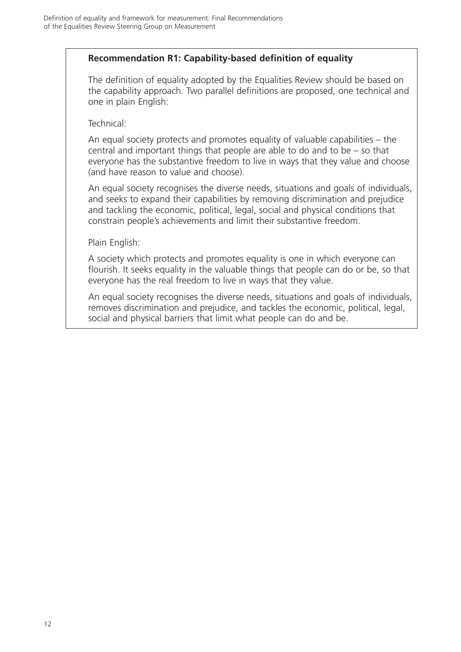## **Recommendation R1: Capability-based definition of equality**

The definition of equality adopted by the Equalities Review should be based on the capability approach. Two parallel definitions are proposed, one technical and one in plain English:

Technical:

An equal society protects and promotes equality of valuable capabilities – the central and important things that people are able to do and to be – so that everyone has the substantive freedom to live in ways that they value and choose (and have reason to value and choose).

An equal society recognises the diverse needs, situations and goals of individuals, and seeks to expand their capabilities by removing discrimination and prejudice and tackling the economic, political, legal, social and physical conditions that constrain people's achievements and limit their substantive freedom.

Plain English:

A society which protects and promotes equality is one in which everyone can flourish. It seeks equality in the valuable things that people can do or be, so that everyone has the real freedom to live in ways that they value.

An equal society recognises the diverse needs, situations and goals of individuals, removes discrimination and prejudice, and tackles the economic, political, legal, social and physical barriers that limit what people can do and be.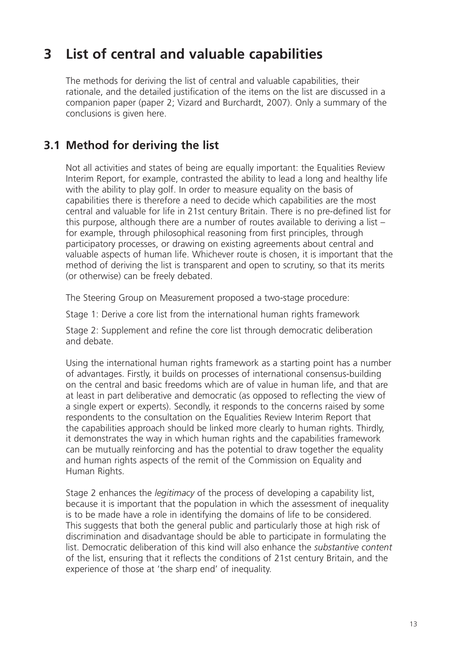# **3 List of central and valuable capabilities**

The methods for deriving the list of central and valuable capabilities, their rationale, and the detailed justification of the items on the list are discussed in a companion paper (paper 2; Vizard and Burchardt, 2007). Only a summary of the conclusions is given here.

# **3.1 Method for deriving the list**

Not all activities and states of being are equally important: the Equalities Review Interim Report, for example, contrasted the ability to lead a long and healthy life with the ability to play golf. In order to measure equality on the basis of capabilities there is therefore a need to decide which capabilities are the most central and valuable for life in 21st century Britain. There is no pre-defined list for this purpose, although there are a number of routes available to deriving a list – for example, through philosophical reasoning from first principles, through participatory processes, or drawing on existing agreements about central and valuable aspects of human life. Whichever route is chosen, it is important that the method of deriving the list is transparent and open to scrutiny, so that its merits (or otherwise) can be freely debated.

The Steering Group on Measurement proposed a two-stage procedure:

Stage 1: Derive a core list from the international human rights framework

Stage 2: Supplement and refine the core list through democratic deliberation and debate.

Using the international human rights framework as a starting point has a number of advantages. Firstly, it builds on processes of international consensus-building on the central and basic freedoms which are of value in human life, and that are at least in part deliberative and democratic (as opposed to reflecting the view of a single expert or experts). Secondly, it responds to the concerns raised by some respondents to the consultation on the Equalities Review Interim Report that the capabilities approach should be linked more clearly to human rights. Thirdly, it demonstrates the way in which human rights and the capabilities framework can be mutually reinforcing and has the potential to draw together the equality and human rights aspects of the remit of the Commission on Equality and Human Rights.

Stage 2 enhances the *legitimacy* of the process of developing a capability list, because it is important that the population in which the assessment of inequality is to be made have a role in identifying the domains of life to be considered. This suggests that both the general public and particularly those at high risk of discrimination and disadvantage should be able to participate in formulating the list. Democratic deliberation of this kind will also enhance the *substantive content* of the list, ensuring that it reflects the conditions of 21st century Britain, and the experience of those at 'the sharp end' of inequality.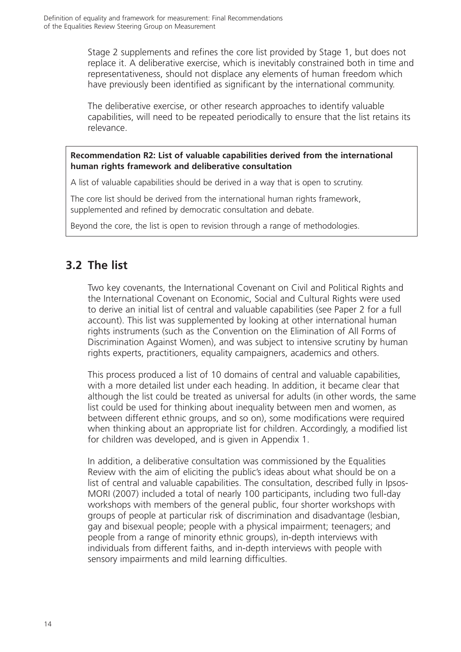Stage 2 supplements and refines the core list provided by Stage 1, but does not replace it. A deliberative exercise, which is inevitably constrained both in time and representativeness, should not displace any elements of human freedom which have previously been identified as significant by the international community.

The deliberative exercise, or other research approaches to identify valuable capabilities, will need to be repeated periodically to ensure that the list retains its relevance.

#### **Recommendation R2: List of valuable capabilities derived from the international human rights framework and deliberative consultation**

A list of valuable capabilities should be derived in a way that is open to scrutiny.

The core list should be derived from the international human rights framework, supplemented and refined by democratic consultation and debate.

Beyond the core, the list is open to revision through a range of methodologies.

# **3.2 The list**

Two key covenants, the International Covenant on Civil and Political Rights and the International Covenant on Economic, Social and Cultural Rights were used to derive an initial list of central and valuable capabilities (see Paper 2 for a full account). This list was supplemented by looking at other international human rights instruments (such as the Convention on the Elimination of All Forms of Discrimination Against Women), and was subject to intensive scrutiny by human rights experts, practitioners, equality campaigners, academics and others.

This process produced a list of 10 domains of central and valuable capabilities, with a more detailed list under each heading. In addition, it became clear that although the list could be treated as universal for adults (in other words, the same list could be used for thinking about inequality between men and women, as between different ethnic groups, and so on), some modifications were required when thinking about an appropriate list for children. Accordingly, a modified list for children was developed, and is given in Appendix 1.

In addition, a deliberative consultation was commissioned by the Equalities Review with the aim of eliciting the public's ideas about what should be on a list of central and valuable capabilities. The consultation, described fully in Ipsos-MORI (2007) included a total of nearly 100 participants, including two full-day workshops with members of the general public, four shorter workshops with groups of people at particular risk of discrimination and disadvantage (lesbian, gay and bisexual people; people with a physical impairment; teenagers; and people from a range of minority ethnic groups), in-depth interviews with individuals from different faiths, and in-depth interviews with people with sensory impairments and mild learning difficulties.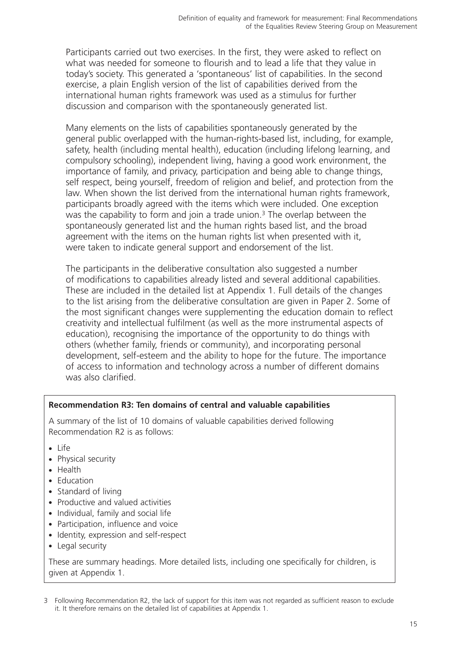Participants carried out two exercises. In the first, they were asked to reflect on what was needed for someone to flourish and to lead a life that they value in today's society. This generated a 'spontaneous' list of capabilities. In the second exercise, a plain English version of the list of capabilities derived from the international human rights framework was used as a stimulus for further discussion and comparison with the spontaneously generated list.

Many elements on the lists of capabilities spontaneously generated by the general public overlapped with the human-rights-based list, including, for example, safety, health (including mental health), education (including lifelong learning, and compulsory schooling), independent living, having a good work environment, the importance of family, and privacy, participation and being able to change things, self respect, being yourself, freedom of religion and belief, and protection from the law. When shown the list derived from the international human rights framework, participants broadly agreed with the items which were included. One exception was the capability to form and join a trade union.<sup>3</sup> The overlap between the spontaneously generated list and the human rights based list, and the broad agreement with the items on the human rights list when presented with it, were taken to indicate general support and endorsement of the list.

The participants in the deliberative consultation also suggested a number of modifications to capabilities already listed and several additional capabilities. These are included in the detailed list at Appendix 1. Full details of the changes to the list arising from the deliberative consultation are given in Paper 2. Some of the most significant changes were supplementing the education domain to reflect creativity and intellectual fulfilment (as well as the more instrumental aspects of education), recognising the importance of the opportunity to do things with others (whether family, friends or community), and incorporating personal development, self-esteem and the ability to hope for the future. The importance of access to information and technology across a number of different domains was also clarified.

#### **Recommendation R3: Ten domains of central and valuable capabilities**

A summary of the list of 10 domains of valuable capabilities derived following Recommendation R2 is as follows:

- Life
- Physical security
- Health
- Education
- Standard of living
- Productive and valued activities
- Individual, family and social life
- Participation, influence and voice
- Identity, expression and self-respect
- Legal security

These are summary headings. More detailed lists, including one specifically for children, is given at Appendix 1.

<sup>3</sup> Following Recommendation R2, the lack of support for this item was not regarded as sufficient reason to exclude it. It therefore remains on the detailed list of capabilities at Appendix 1.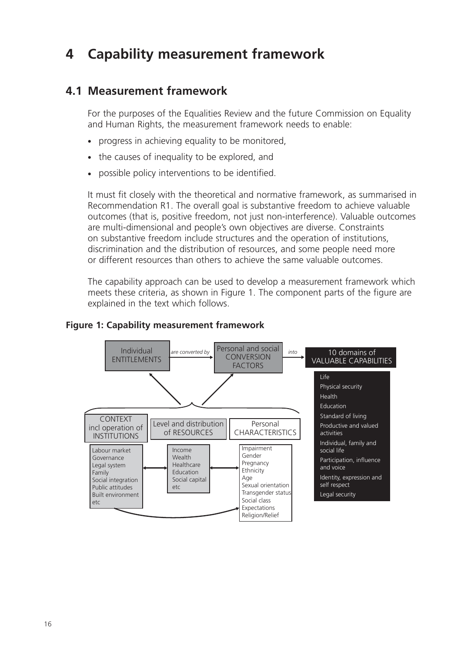# **4 Capability measurement framework**

# **4.1 Measurement framework**

For the purposes of the Equalities Review and the future Commission on Equality and Human Rights, the measurement framework needs to enable:

- progress in achieving equality to be monitored,
- the causes of inequality to be explored, and
- possible policy interventions to be identified.

It must fit closely with the theoretical and normative framework, as summarised in Recommendation R1. The overall goal is substantive freedom to achieve valuable outcomes (that is, positive freedom, not just non-interference). Valuable outcomes are multi-dimensional and people's own objectives are diverse. Constraints on substantive freedom include structures and the operation of institutions, discrimination and the distribution of resources, and some people need more or different resources than others to achieve the same valuable outcomes.

The capability approach can be used to develop a measurement framework which meets these criteria, as shown in Figure 1. The component parts of the figure are explained in the text which follows.

### **Figure 1: Capability measurement framework**

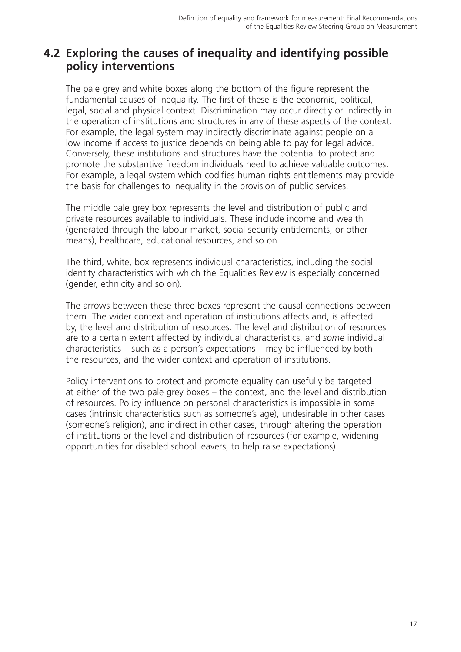# **4.2 Exploring the causes of inequality and identifying possible policy interventions**

The pale grey and white boxes along the bottom of the figure represent the fundamental causes of inequality. The first of these is the economic, political, legal, social and physical context. Discrimination may occur directly or indirectly in the operation of institutions and structures in any of these aspects of the context. For example, the legal system may indirectly discriminate against people on a low income if access to justice depends on being able to pay for legal advice. Conversely, these institutions and structures have the potential to protect and promote the substantive freedom individuals need to achieve valuable outcomes. For example, a legal system which codifies human rights entitlements may provide the basis for challenges to inequality in the provision of public services.

The middle pale grey box represents the level and distribution of public and private resources available to individuals. These include income and wealth (generated through the labour market, social security entitlements, or other means), healthcare, educational resources, and so on.

The third, white, box represents individual characteristics, including the social identity characteristics with which the Equalities Review is especially concerned (gender, ethnicity and so on).

The arrows between these three boxes represent the causal connections between them. The wider context and operation of institutions affects and, is affected by, the level and distribution of resources. The level and distribution of resources are to a certain extent affected by individual characteristics, and *some* individual characteristics – such as a person's expectations – may be influenced by both the resources, and the wider context and operation of institutions.

Policy interventions to protect and promote equality can usefully be targeted at either of the two pale grey boxes – the context, and the level and distribution of resources. Policy influence on personal characteristics is impossible in some cases (intrinsic characteristics such as someone's age), undesirable in other cases (someone's religion), and indirect in other cases, through altering the operation of institutions or the level and distribution of resources (for example, widening opportunities for disabled school leavers, to help raise expectations).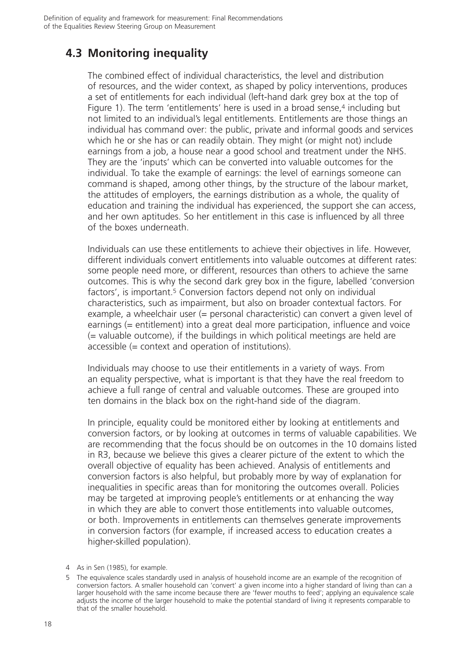# **4.3 Monitoring inequality**

The combined effect of individual characteristics, the level and distribution of resources, and the wider context, as shaped by policy interventions, produces a set of entitlements for each individual (left-hand dark grey box at the top of Figure 1). The term 'entitlements' here is used in a broad sense,<sup>4</sup> including but not limited to an individual's legal entitlements. Entitlements are those things an individual has command over: the public, private and informal goods and services which he or she has or can readily obtain. They might (or might not) include earnings from a job, a house near a good school and treatment under the NHS. They are the 'inputs' which can be converted into valuable outcomes for the individual. To take the example of earnings: the level of earnings someone can command is shaped, among other things, by the structure of the labour market, the attitudes of employers, the earnings distribution as a whole, the quality of education and training the individual has experienced, the support she can access, and her own aptitudes. So her entitlement in this case is influenced by all three of the boxes underneath.

Individuals can use these entitlements to achieve their objectives in life. However, different individuals convert entitlements into valuable outcomes at different rates: some people need more, or different, resources than others to achieve the same outcomes. This is why the second dark grey box in the figure, labelled 'conversion factors', is important.<sup>5</sup> Conversion factors depend not only on individual characteristics, such as impairment, but also on broader contextual factors. For example, a wheelchair user (= personal characteristic) can convert a given level of earnings (= entitlement) into a great deal more participation, influence and voice (= valuable outcome), if the buildings in which political meetings are held are accessible (= context and operation of institutions).

Individuals may choose to use their entitlements in a variety of ways. From an equality perspective, what is important is that they have the real freedom to achieve a full range of central and valuable outcomes. These are grouped into ten domains in the black box on the right-hand side of the diagram.

In principle, equality could be monitored either by looking at entitlements and conversion factors, or by looking at outcomes in terms of valuable capabilities. We are recommending that the focus should be on outcomes in the 10 domains listed in R3, because we believe this gives a clearer picture of the extent to which the overall objective of equality has been achieved. Analysis of entitlements and conversion factors is also helpful, but probably more by way of explanation for inequalities in specific areas than for monitoring the outcomes overall. Policies may be targeted at improving people's entitlements or at enhancing the way in which they are able to convert those entitlements into valuable outcomes, or both. Improvements in entitlements can themselves generate improvements in conversion factors (for example, if increased access to education creates a higher-skilled population).

<sup>4</sup> As in Sen (1985), for example.

<sup>5</sup> The equivalence scales standardly used in analysis of household income are an example of the recognition of conversion factors. A smaller household can 'convert' a given income into a higher standard of living than can a larger household with the same income because there are 'fewer mouths to feed'; applying an equivalence scale adjusts the income of the larger household to make the potential standard of living it represents comparable to that of the smaller household.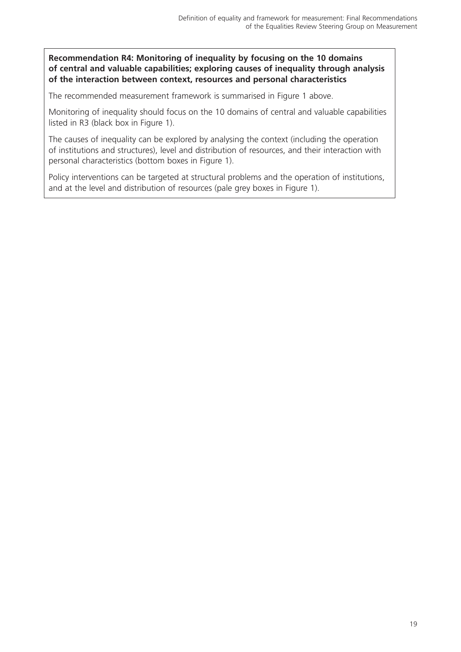**Recommendation R4: Monitoring of inequality by focusing on the 10 domains of central and valuable capabilities; exploring causes of inequality through analysis of the interaction between context, resources and personal characteristics**

The recommended measurement framework is summarised in Figure 1 above.

Monitoring of inequality should focus on the 10 domains of central and valuable capabilities listed in R3 (black box in Figure 1).

The causes of inequality can be explored by analysing the context (including the operation of institutions and structures), level and distribution of resources, and their interaction with personal characteristics (bottom boxes in Figure 1).

Policy interventions can be targeted at structural problems and the operation of institutions, and at the level and distribution of resources (pale grey boxes in Figure 1).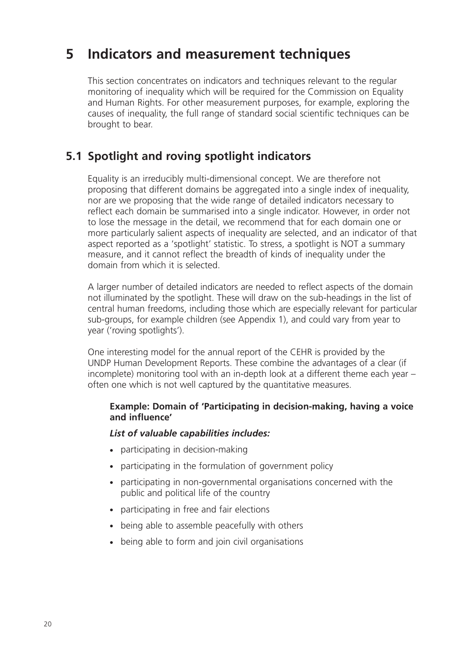# **5 Indicators and measurement techniques**

This section concentrates on indicators and techniques relevant to the regular monitoring of inequality which will be required for the Commission on Equality and Human Rights. For other measurement purposes, for example, exploring the causes of inequality, the full range of standard social scientific techniques can be brought to bear.

# **5.1 Spotlight and roving spotlight indicators**

Equality is an irreducibly multi-dimensional concept. We are therefore not proposing that different domains be aggregated into a single index of inequality, nor are we proposing that the wide range of detailed indicators necessary to reflect each domain be summarised into a single indicator. However, in order not to lose the message in the detail, we recommend that for each domain one or more particularly salient aspects of inequality are selected, and an indicator of that aspect reported as a 'spotlight' statistic. To stress, a spotlight is NOT a summary measure, and it cannot reflect the breadth of kinds of inequality under the domain from which it is selected.

A larger number of detailed indicators are needed to reflect aspects of the domain not illuminated by the spotlight. These will draw on the sub-headings in the list of central human freedoms, including those which are especially relevant for particular sub-groups, for example children (see Appendix 1), and could vary from year to year ('roving spotlights').

One interesting model for the annual report of the CEHR is provided by the UNDP Human Development Reports. These combine the advantages of a clear (if incomplete) monitoring tool with an in-depth look at a different theme each year – often one which is not well captured by the quantitative measures.

### **Example: Domain of 'Participating in decision-making, having a voice and influence'**

### *List of valuable capabilities includes:*

- participating in decision-making
- participating in the formulation of government policy
- participating in non-governmental organisations concerned with the public and political life of the country
- participating in free and fair elections
- being able to assemble peacefully with others
- being able to form and join civil organisations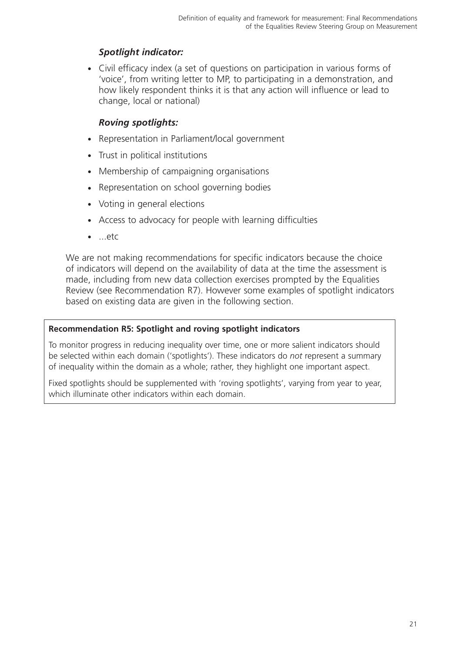# *Spotlight indicator:*

- Civil efficacy index (a set of questions on participation in various forms of 'voice', from writing letter to MP, to participating in a demonstration, and how likely respondent thinks it is that any action will influence or lead to change, local or national)

### *Roving spotlights:*

- Representation in Parliament/local government
- Trust in political institutions
- Membership of campaigning organisations
- Representation on school governing bodies
- Voting in general elections
- Access to advocacy for people with learning difficulties
- ...etc

We are not making recommendations for specific indicators because the choice of indicators will depend on the availability of data at the time the assessment is made, including from new data collection exercises prompted by the Equalities Review (see Recommendation R7). However some examples of spotlight indicators based on existing data are given in the following section.

#### **Recommendation R5: Spotlight and roving spotlight indicators**

To monitor progress in reducing inequality over time, one or more salient indicators should be selected within each domain ('spotlights'). These indicators do *not* represent a summary of inequality within the domain as a whole; rather, they highlight one important aspect.

Fixed spotlights should be supplemented with 'roving spotlights', varying from year to year, which illuminate other indicators within each domain.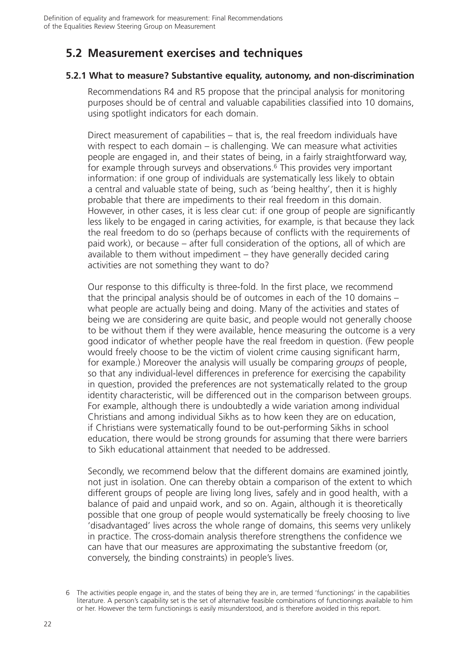# **5.2 Measurement exercises and techniques**

### **5.2.1 What to measure? Substantive equality, autonomy, and non-discrimination**

Recommendations R4 and R5 propose that the principal analysis for monitoring purposes should be of central and valuable capabilities classified into 10 domains, using spotlight indicators for each domain.

Direct measurement of capabilities – that is, the real freedom individuals have with respect to each domain – is challenging. We can measure what activities people are engaged in, and their states of being, in a fairly straightforward way, for example through surveys and observations.<sup>6</sup> This provides very important information: if one group of individuals are systematically less likely to obtain a central and valuable state of being, such as 'being healthy', then it is highly probable that there are impediments to their real freedom in this domain. However, in other cases, it is less clear cut: if one group of people are significantly less likely to be engaged in caring activities, for example, is that because they lack the real freedom to do so (perhaps because of conflicts with the requirements of paid work), or because – after full consideration of the options, all of which are available to them without impediment – they have generally decided caring activities are not something they want to do?

Our response to this difficulty is three-fold. In the first place, we recommend that the principal analysis should be of outcomes in each of the 10 domains – what people are actually being and doing. Many of the activities and states of being we are considering are quite basic, and people would not generally choose to be without them if they were available, hence measuring the outcome is a very good indicator of whether people have the real freedom in question. (Few people would freely choose to be the victim of violent crime causing significant harm, for example.) Moreover the analysis will usually be comparing *groups* of people, so that any individual-level differences in preference for exercising the capability in question, provided the preferences are not systematically related to the group identity characteristic, will be differenced out in the comparison between groups. For example, although there is undoubtedly a wide variation among individual Christians and among individual Sikhs as to how keen they are on education, if Christians were systematically found to be out-performing Sikhs in school education, there would be strong grounds for assuming that there were barriers to Sikh educational attainment that needed to be addressed.

Secondly, we recommend below that the different domains are examined jointly, not just in isolation. One can thereby obtain a comparison of the extent to which different groups of people are living long lives, safely and in good health, with a balance of paid and unpaid work, and so on. Again, although it is theoretically possible that one group of people would systematically be freely choosing to live 'disadvantaged' lives across the whole range of domains, this seems very unlikely in practice. The cross-domain analysis therefore strengthens the confidence we can have that our measures are approximating the substantive freedom (or, conversely, the binding constraints) in people's lives.

The activities people engage in, and the states of being they are in, are termed 'functionings' in the capabilities literature. A person's capability set is the set of alternative feasible combinations of functionings available to him or her. However the term functionings is easily misunderstood, and is therefore avoided in this report.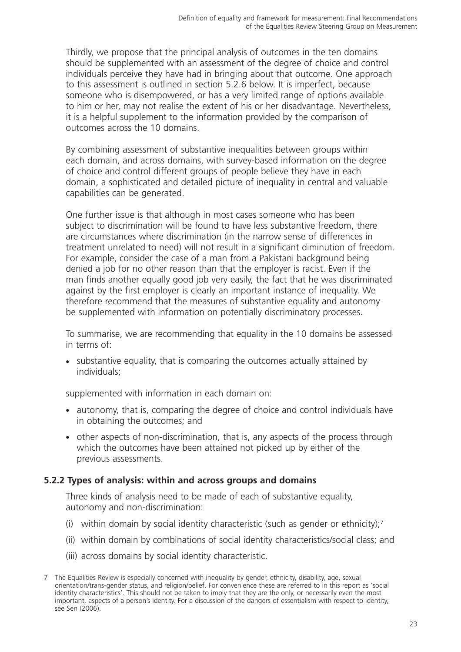Thirdly, we propose that the principal analysis of outcomes in the ten domains should be supplemented with an assessment of the degree of choice and control individuals perceive they have had in bringing about that outcome. One approach to this assessment is outlined in section 5.2.6 below. It is imperfect, because someone who is disempowered, or has a very limited range of options available to him or her, may not realise the extent of his or her disadvantage. Nevertheless, it is a helpful supplement to the information provided by the comparison of outcomes across the 10 domains.

By combining assessment of substantive inequalities between groups within each domain, and across domains, with survey-based information on the degree of choice and control different groups of people believe they have in each domain, a sophisticated and detailed picture of inequality in central and valuable capabilities can be generated.

One further issue is that although in most cases someone who has been subject to discrimination will be found to have less substantive freedom, there are circumstances where discrimination (in the narrow sense of differences in treatment unrelated to need) will not result in a significant diminution of freedom. For example, consider the case of a man from a Pakistani background being denied a job for no other reason than that the employer is racist. Even if the man finds another equally good job very easily, the fact that he was discriminated against by the first employer is clearly an important instance of inequality. We therefore recommend that the measures of substantive equality and autonomy be supplemented with information on potentially discriminatory processes.

To summarise, we are recommending that equality in the 10 domains be assessed in terms of:

- substantive equality, that is comparing the outcomes actually attained by individuals;

supplemented with information in each domain on:

- autonomy, that is, comparing the degree of choice and control individuals have in obtaining the outcomes; and
- other aspects of non-discrimination, that is, any aspects of the process through which the outcomes have been attained not picked up by either of the previous assessments.

### **5.2.2 Types of analysis: within and across groups and domains**

Three kinds of analysis need to be made of each of substantive equality, autonomy and non-discrimination:

- (i) within domain by social identity characteristic (such as gender or ethnicity):<sup>7</sup>
- (ii) within domain by combinations of social identity characteristics/social class; and
- (iii) across domains by social identity characteristic.

<sup>7</sup> The Equalities Review is especially concerned with inequality by gender, ethnicity, disability, age, sexual orientation/trans-gender status, and religion/belief. For convenience these are referred to in this report as 'social identity characteristics'. This should not be taken to imply that they are the only, or necessarily even the most important, aspects of a person's identity. For a discussion of the dangers of essentialism with respect to identity, see Sen (2006).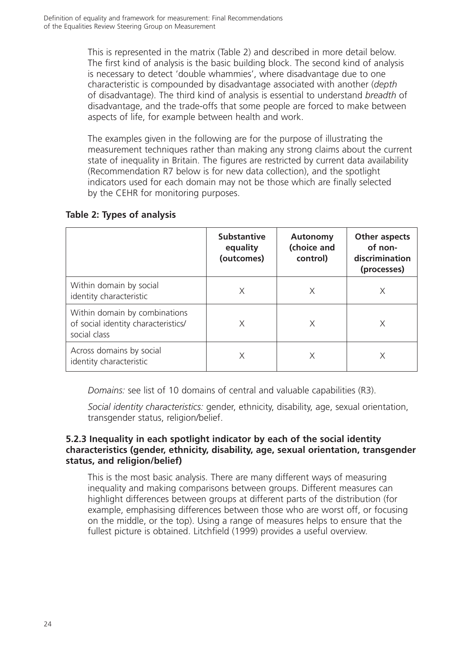This is represented in the matrix (Table 2) and described in more detail below. The first kind of analysis is the basic building block. The second kind of analysis is necessary to detect 'double whammies', where disadvantage due to one characteristic is compounded by disadvantage associated with another (*depth* of disadvantage). The third kind of analysis is essential to understand *breadth* of disadvantage, and the trade-offs that some people are forced to make between aspects of life, for example between health and work.

The examples given in the following are for the purpose of illustrating the measurement techniques rather than making any strong claims about the current state of inequality in Britain. The figures are restricted by current data availability (Recommendation R7 below is for new data collection), and the spotlight indicators used for each domain may not be those which are finally selected by the CEHR for monitoring purposes.

### **Table 2: Types of analysis**

|                                                                                      | <b>Substantive</b><br>equality<br>(outcomes) | <b>Autonomy</b><br>(choice and<br>control) | Other aspects<br>of non-<br>discrimination<br>(processes) |
|--------------------------------------------------------------------------------------|----------------------------------------------|--------------------------------------------|-----------------------------------------------------------|
| Within domain by social<br>identity characteristic                                   | X                                            | X                                          |                                                           |
| Within domain by combinations<br>of social identity characteristics/<br>social class | Χ                                            | X                                          |                                                           |
| Across domains by social<br>identity characteristic                                  |                                              |                                            |                                                           |

*Domains:* see list of 10 domains of central and valuable capabilities (R3).

*Social identity characteristics:* gender, ethnicity, disability, age, sexual orientation, transgender status, religion/belief.

#### **5.2.3 Inequality in each spotlight indicator by each of the social identity characteristics (gender, ethnicity, disability, age, sexual orientation, transgender status, and religion/belief)**

This is the most basic analysis. There are many different ways of measuring inequality and making comparisons between groups. Different measures can highlight differences between groups at different parts of the distribution (for example, emphasising differences between those who are worst off, or focusing on the middle, or the top). Using a range of measures helps to ensure that the fullest picture is obtained. Litchfield (1999) provides a useful overview.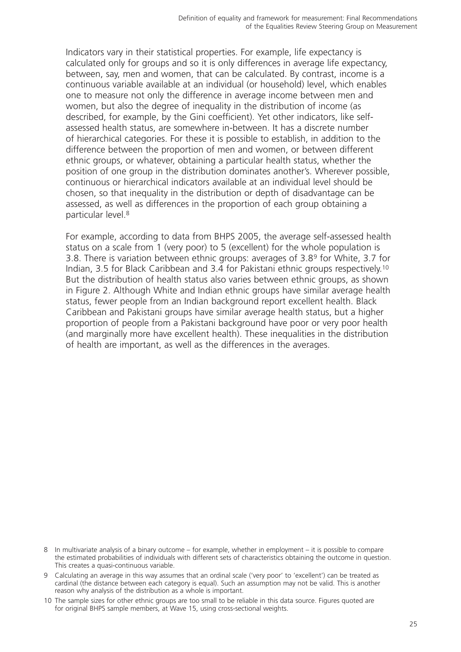Indicators vary in their statistical properties. For example, life expectancy is calculated only for groups and so it is only differences in average life expectancy, between, say, men and women, that can be calculated. By contrast, income is a continuous variable available at an individual (or household) level, which enables one to measure not only the difference in average income between men and women, but also the degree of inequality in the distribution of income (as described, for example, by the Gini coefficient). Yet other indicators, like selfassessed health status, are somewhere in-between. It has a discrete number of hierarchical categories. For these it is possible to establish, in addition to the difference between the proportion of men and women, or between different ethnic groups, or whatever, obtaining a particular health status, whether the position of one group in the distribution dominates another's. Wherever possible, continuous or hierarchical indicators available at an individual level should be chosen, so that inequality in the distribution or depth of disadvantage can be assessed, as well as differences in the proportion of each group obtaining a particular level.8

For example, according to data from BHPS 2005, the average self-assessed health status on a scale from 1 (very poor) to 5 (excellent) for the whole population is 3.8. There is variation between ethnic groups: averages of 3.89 for White, 3.7 for Indian, 3.5 for Black Caribbean and 3.4 for Pakistani ethnic groups respectively.10 But the distribution of health status also varies between ethnic groups, as shown in Figure 2. Although White and Indian ethnic groups have similar average health status, fewer people from an Indian background report excellent health. Black Caribbean and Pakistani groups have similar average health status, but a higher proportion of people from a Pakistani background have poor or very poor health (and marginally more have excellent health). These inequalities in the distribution of health are important, as well as the differences in the averages.

<sup>8</sup> In multivariate analysis of a binary outcome – for example, whether in employment – it is possible to compare the estimated probabilities of individuals with different sets of characteristics obtaining the outcome in question. This creates a quasi-continuous variable.

<sup>9</sup> Calculating an average in this way assumes that an ordinal scale ('very poor' to 'excellent') can be treated as cardinal (the distance between each category is equal). Such an assumption may not be valid. This is another reason why analysis of the distribution as a whole is important.

<sup>10</sup> The sample sizes for other ethnic groups are too small to be reliable in this data source. Figures quoted are for original BHPS sample members, at Wave 15, using cross-sectional weights.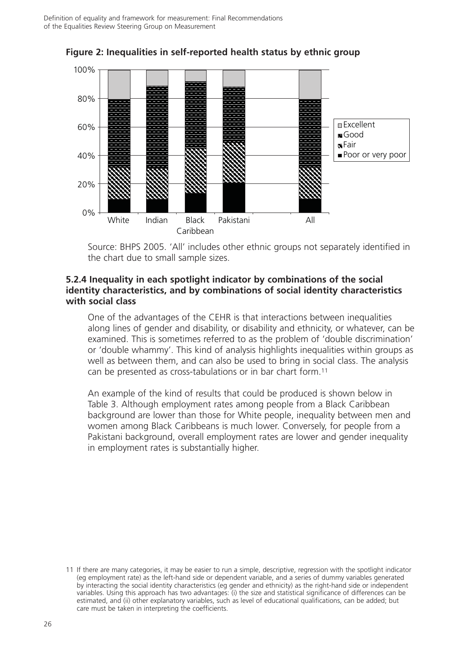

**Figure 2: Inequalities in self-reported health status by ethnic group**

Source: BHPS 2005. 'All' includes other ethnic groups not separately identified in the chart due to small sample sizes.

#### **5.2.4 Inequality in each spotlight indicator by combinations of the social identity characteristics, and by combinations of social identity characteristics with social class**

One of the advantages of the CEHR is that interactions between inequalities along lines of gender and disability, or disability and ethnicity, or whatever, can be examined. This is sometimes referred to as the problem of 'double discrimination' or 'double whammy'. This kind of analysis highlights inequalities within groups as well as between them, and can also be used to bring in social class. The analysis can be presented as cross-tabulations or in bar chart form.11

An example of the kind of results that could be produced is shown below in Table 3. Although employment rates among people from a Black Caribbean background are lower than those for White people, inequality between men and women among Black Caribbeans is much lower. Conversely, for people from a Pakistani background, overall employment rates are lower and gender inequality in employment rates is substantially higher.

<sup>11</sup> If there are many categories, it may be easier to run a simple, descriptive, regression with the spotlight indicator (eg employment rate) as the left-hand side or dependent variable, and a series of dummy variables generated by interacting the social identity characteristics (eg gender and ethnicity) as the right-hand side or independent variables. Using this approach has two advantages: (i) the size and statistical significance of differences can be estimated, and (ii) other explanatory variables, such as level of educational qualifications, can be added; but care must be taken in interpreting the coefficients.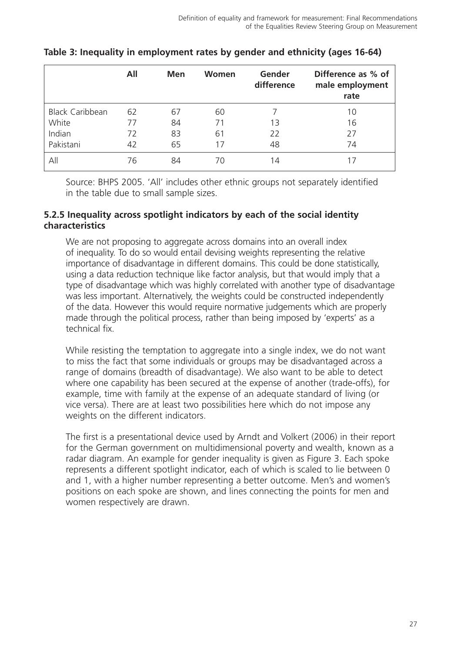|                        | All | <b>Men</b> | Women | Gender<br>difference | Difference as % of<br>male employment<br>rate |
|------------------------|-----|------------|-------|----------------------|-----------------------------------------------|
| <b>Black Caribbean</b> | 62  | 67         | 60    |                      | 10                                            |
| White                  | 77  | 84         | 71    | 13                   | 16                                            |
| Indian                 | 72  | 83         | 61    | 22                   | 27                                            |
| Pakistani              | 42  | 65         | 17    | 48                   | 74                                            |
| All                    | 76  | 84         | 70    | 14                   |                                               |

### **Table 3: Inequality in employment rates by gender and ethnicity (ages 16-64)**

Source: BHPS 2005. 'All' includes other ethnic groups not separately identified in the table due to small sample sizes.

#### **5.2.5 Inequality across spotlight indicators by each of the social identity characteristics**

We are not proposing to aggregate across domains into an overall index of inequality. To do so would entail devising weights representing the relative importance of disadvantage in different domains. This could be done statistically, using a data reduction technique like factor analysis, but that would imply that a type of disadvantage which was highly correlated with another type of disadvantage was less important. Alternatively, the weights could be constructed independently of the data. However this would require normative judgements which are properly made through the political process, rather than being imposed by 'experts' as a technical fix.

While resisting the temptation to aggregate into a single index, we do not want to miss the fact that some individuals or groups may be disadvantaged across a range of domains (breadth of disadvantage). We also want to be able to detect where one capability has been secured at the expense of another (trade-offs), for example, time with family at the expense of an adequate standard of living (or vice versa). There are at least two possibilities here which do not impose any weights on the different indicators.

The first is a presentational device used by Arndt and Volkert (2006) in their report for the German government on multidimensional poverty and wealth, known as a radar diagram. An example for gender inequality is given as Figure 3. Each spoke represents a different spotlight indicator, each of which is scaled to lie between 0 and 1, with a higher number representing a better outcome. Men's and women's positions on each spoke are shown, and lines connecting the points for men and women respectively are drawn.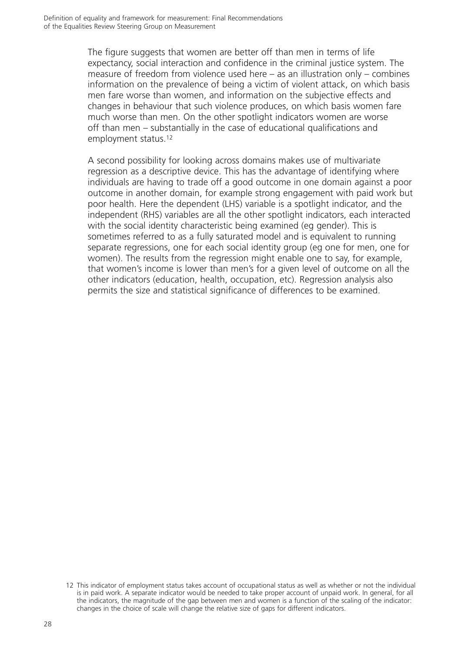The figure suggests that women are better off than men in terms of life expectancy, social interaction and confidence in the criminal justice system. The measure of freedom from violence used here – as an illustration only – combines information on the prevalence of being a victim of violent attack, on which basis men fare worse than women, and information on the subjective effects and changes in behaviour that such violence produces, on which basis women fare much worse than men. On the other spotlight indicators women are worse off than men – substantially in the case of educational qualifications and employment status.12

A second possibility for looking across domains makes use of multivariate regression as a descriptive device. This has the advantage of identifying where individuals are having to trade off a good outcome in one domain against a poor outcome in another domain, for example strong engagement with paid work but poor health. Here the dependent (LHS) variable is a spotlight indicator, and the independent (RHS) variables are all the other spotlight indicators, each interacted with the social identity characteristic being examined (eg gender). This is sometimes referred to as a fully saturated model and is equivalent to running separate regressions, one for each social identity group (eg one for men, one for women). The results from the regression might enable one to say, for example, that women's income is lower than men's for a given level of outcome on all the other indicators (education, health, occupation, etc). Regression analysis also permits the size and statistical significance of differences to be examined.

<sup>12</sup> This indicator of employment status takes account of occupational status as well as whether or not the individual is in paid work. A separate indicator would be needed to take proper account of unpaid work. In general, for all the indicators, the magnitude of the gap between men and women is a function of the scaling of the indicator: changes in the choice of scale will change the relative size of gaps for different indicators.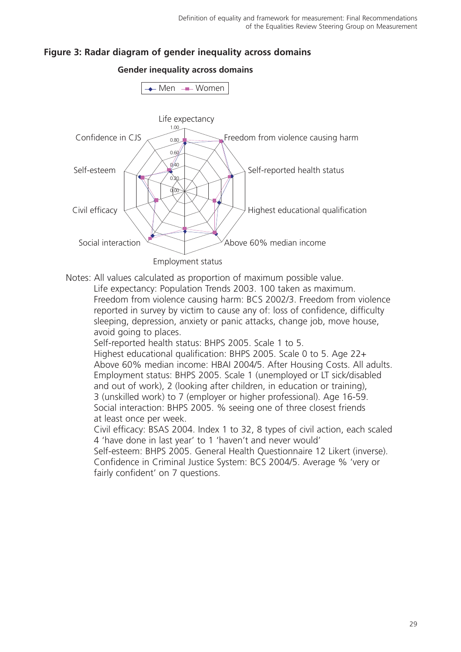## **Figure 3: Radar diagram of gender inequality across domains**



**Gender inequality across domains**

Notes: All values calculated as proportion of maximum possible value.

Life expectancy: Population Trends 2003. 100 taken as maximum. Freedom from violence causing harm: BCS 2002/3. Freedom from violence reported in survey by victim to cause any of: loss of confidence, difficulty sleeping, depression, anxiety or panic attacks, change job, move house, avoid going to places.

Self-reported health status: BHPS 2005. Scale 1 to 5.

Highest educational qualification: BHPS 2005. Scale 0 to 5. Age 22+ Above 60% median income: HBAI 2004/5. After Housing Costs. All adults. Employment status: BHPS 2005. Scale 1 (unemployed or LT sick/disabled and out of work), 2 (looking after children, in education or training), 3 (unskilled work) to 7 (employer or higher professional). Age 16-59. Social interaction: BHPS 2005. % seeing one of three closest friends at least once per week.

Civil efficacy: BSAS 2004. Index 1 to 32, 8 types of civil action, each scaled 4 'have done in last year' to 1 'haven't and never would'

Self-esteem: BHPS 2005. General Health Questionnaire 12 Likert (inverse). Confidence in Criminal Justice System: BCS 2004/5. Average % 'very or fairly confident' on 7 questions.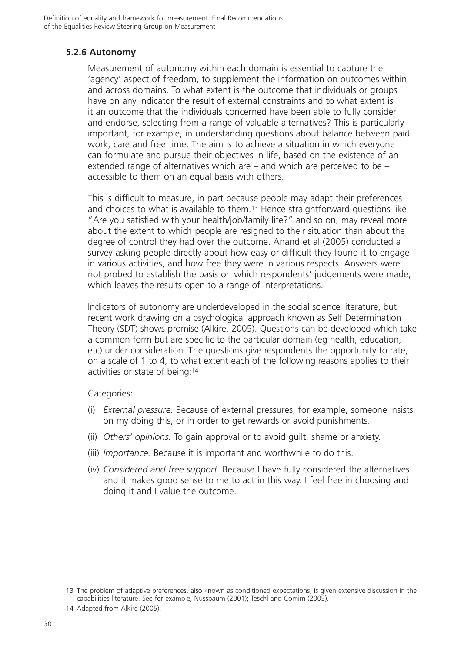## **5.2.6 Autonomy**

Measurement of autonomy within each domain is essential to capture the 'agency' aspect of freedom, to supplement the information on outcomes within and across domains. To what extent is the outcome that individuals or groups have on any indicator the result of external constraints and to what extent is it an outcome that the individuals concerned have been able to fully consider and endorse, selecting from a range of valuable alternatives? This is particularly important, for example, in understanding questions about balance between paid work, care and free time. The aim is to achieve a situation in which everyone can formulate and pursue their objectives in life, based on the existence of an extended range of alternatives which are – and which are perceived to be – accessible to them on an equal basis with others.

This is difficult to measure, in part because people may adapt their preferences and choices to what is available to them.13 Hence straightforward questions like "Are you satisfied with your health/job/family life?" and so on, may reveal more about the extent to which people are resigned to their situation than about the degree of control they had over the outcome. Anand et al (2005) conducted a survey asking people directly about how easy or difficult they found it to engage in various activities, and how free they were in various respects. Answers were not probed to establish the basis on which respondents' judgements were made, which leaves the results open to a range of interpretations.

Indicators of autonomy are underdeveloped in the social science literature, but recent work drawing on a psychological approach known as Self Determination Theory (SDT) shows promise (Alkire, 2005). Questions can be developed which take a common form but are specific to the particular domain (eg health, education, etc) under consideration. The questions give respondents the opportunity to rate, on a scale of 1 to 4, to what extent each of the following reasons applies to their activities or state of being:14

#### Categories:

- (i) *External pressure.* Because of external pressures, for example, someone insists on my doing this, or in order to get rewards or avoid punishments.
- (ii) *Others' opinions.* To gain approval or to avoid guilt, shame or anxiety.
- (iii) *Importance.* Because it is important and worthwhile to do this.
- (iv) *Considered and free support.* Because I have fully considered the alternatives and it makes good sense to me to act in this way. I feel free in choosing and doing it and I value the outcome.

14 Adapted from Alkire (2005).

<sup>13</sup> The problem of adaptive preferences, also known as conditioned expectations, is given extensive discussion in the capabilities literature. See for example, Nussbaum (2001); Teschl and Comim (2005).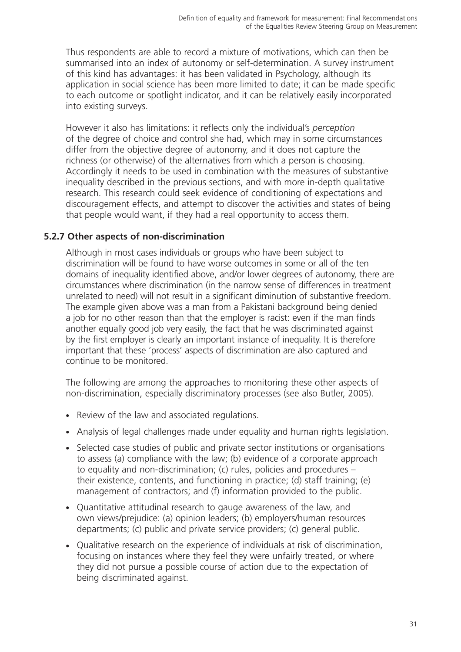Thus respondents are able to record a mixture of motivations, which can then be summarised into an index of autonomy or self-determination. A survey instrument of this kind has advantages: it has been validated in Psychology, although its application in social science has been more limited to date; it can be made specific to each outcome or spotlight indicator, and it can be relatively easily incorporated into existing surveys.

However it also has limitations: it reflects only the individual's *perception* of the degree of choice and control she had, which may in some circumstances differ from the objective degree of autonomy, and it does not capture the richness (or otherwise) of the alternatives from which a person is choosing. Accordingly it needs to be used in combination with the measures of substantive inequality described in the previous sections, and with more in-depth qualitative research. This research could seek evidence of conditioning of expectations and discouragement effects, and attempt to discover the activities and states of being that people would want, if they had a real opportunity to access them.

#### **5.2.7 Other aspects of non-discrimination**

Although in most cases individuals or groups who have been subject to discrimination will be found to have worse outcomes in some or all of the ten domains of inequality identified above, and/or lower degrees of autonomy, there are circumstances where discrimination (in the narrow sense of differences in treatment unrelated to need) will not result in a significant diminution of substantive freedom. The example given above was a man from a Pakistani background being denied a job for no other reason than that the employer is racist: even if the man finds another equally good job very easily, the fact that he was discriminated against by the first employer is clearly an important instance of inequality. It is therefore important that these 'process' aspects of discrimination are also captured and continue to be monitored.

The following are among the approaches to monitoring these other aspects of non-discrimination, especially discriminatory processes (see also Butler, 2005).

- Review of the law and associated regulations.
- Analysis of legal challenges made under equality and human rights legislation.
- Selected case studies of public and private sector institutions or organisations to assess (a) compliance with the law; (b) evidence of a corporate approach to equality and non-discrimination; (c) rules, policies and procedures – their existence, contents, and functioning in practice; (d) staff training; (e) management of contractors; and (f) information provided to the public.
- Quantitative attitudinal research to gauge awareness of the law, and own views/prejudice: (a) opinion leaders; (b) employers/human resources departments; (c) public and private service providers; (c) general public.
- Qualitative research on the experience of individuals at risk of discrimination, focusing on instances where they feel they were unfairly treated, or where they did not pursue a possible course of action due to the expectation of being discriminated against.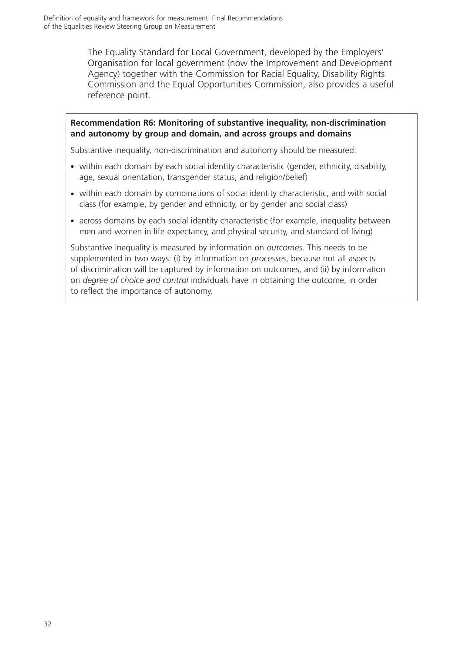The Equality Standard for Local Government, developed by the Employers' Organisation for local government (now the Improvement and Development Agency) together with the Commission for Racial Equality, Disability Rights Commission and the Equal Opportunities Commission, also provides a useful reference point.

#### **Recommendation R6: Monitoring of substantive inequality, non-discrimination and autonomy by group and domain, and across groups and domains**

Substantive inequality, non-discrimination and autonomy should be measured:

- within each domain by each social identity characteristic (gender, ethnicity, disability, age, sexual orientation, transgender status, and religion/belief)
- within each domain by combinations of social identity characteristic, and with social class (for example, by gender and ethnicity, or by gender and social class)
- across domains by each social identity characteristic (for example, inequality between men and women in life expectancy, and physical security, and standard of living)

Substantive inequality is measured by information on *outcomes*. This needs to be supplemented in two ways: (i) by information on *processes*, because not all aspects of discrimination will be captured by information on outcomes, and (ii) by information on *degree of choice and control* individuals have in obtaining the outcome, in order to reflect the importance of autonomy.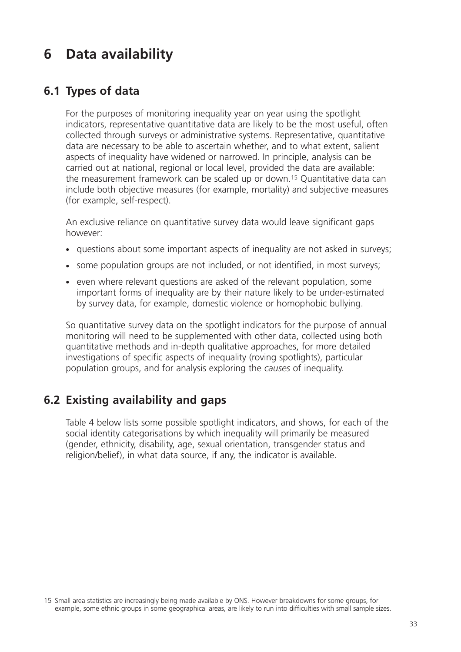# **6 Data availability**

# **6.1 Types of data**

For the purposes of monitoring inequality year on year using the spotlight indicators, representative quantitative data are likely to be the most useful, often collected through surveys or administrative systems. Representative, quantitative data are necessary to be able to ascertain whether, and to what extent, salient aspects of inequality have widened or narrowed. In principle, analysis can be carried out at national, regional or local level, provided the data are available: the measurement framework can be scaled up or down.15 Quantitative data can include both objective measures (for example, mortality) and subjective measures (for example, self-respect).

An exclusive reliance on quantitative survey data would leave significant gaps however:

- questions about some important aspects of inequality are not asked in surveys;
- some population groups are not included, or not identified, in most surveys;
- even where relevant questions are asked of the relevant population, some important forms of inequality are by their nature likely to be under-estimated by survey data, for example, domestic violence or homophobic bullying.

So quantitative survey data on the spotlight indicators for the purpose of annual monitoring will need to be supplemented with other data, collected using both quantitative methods and in-depth qualitative approaches, for more detailed investigations of specific aspects of inequality (roving spotlights), particular population groups, and for analysis exploring the *causes* of inequality.

# **6.2 Existing availability and gaps**

Table 4 below lists some possible spotlight indicators, and shows, for each of the social identity categorisations by which inequality will primarily be measured (gender, ethnicity, disability, age, sexual orientation, transgender status and religion/belief), in what data source, if any, the indicator is available.

<sup>15</sup> Small area statistics are increasingly being made available by ONS. However breakdowns for some groups, for example, some ethnic groups in some geographical areas, are likely to run into difficulties with small sample sizes.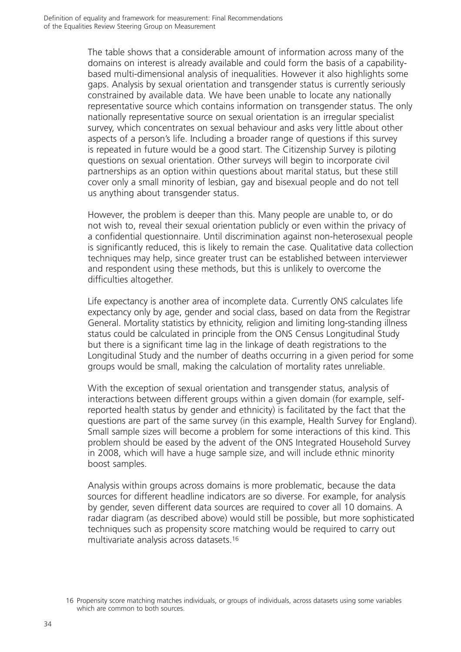The table shows that a considerable amount of information across many of the domains on interest is already available and could form the basis of a capabilitybased multi-dimensional analysis of inequalities. However it also highlights some gaps. Analysis by sexual orientation and transgender status is currently seriously constrained by available data. We have been unable to locate any nationally representative source which contains information on transgender status. The only nationally representative source on sexual orientation is an irregular specialist survey, which concentrates on sexual behaviour and asks very little about other aspects of a person's life. Including a broader range of questions if this survey is repeated in future would be a good start. The Citizenship Survey is piloting questions on sexual orientation. Other surveys will begin to incorporate civil partnerships as an option within questions about marital status, but these still cover only a small minority of lesbian, gay and bisexual people and do not tell us anything about transgender status.

However, the problem is deeper than this. Many people are unable to, or do not wish to, reveal their sexual orientation publicly or even within the privacy of a confidential questionnaire. Until discrimination against non-heterosexual people is significantly reduced, this is likely to remain the case. Qualitative data collection techniques may help, since greater trust can be established between interviewer and respondent using these methods, but this is unlikely to overcome the difficulties altogether.

Life expectancy is another area of incomplete data. Currently ONS calculates life expectancy only by age, gender and social class, based on data from the Registrar General. Mortality statistics by ethnicity, religion and limiting long-standing illness status could be calculated in principle from the ONS Census Longitudinal Study but there is a significant time lag in the linkage of death registrations to the Longitudinal Study and the number of deaths occurring in a given period for some groups would be small, making the calculation of mortality rates unreliable.

With the exception of sexual orientation and transgender status, analysis of interactions between different groups within a given domain (for example, selfreported health status by gender and ethnicity) is facilitated by the fact that the questions are part of the same survey (in this example, Health Survey for England). Small sample sizes will become a problem for some interactions of this kind. This problem should be eased by the advent of the ONS Integrated Household Survey in 2008, which will have a huge sample size, and will include ethnic minority boost samples.

Analysis within groups across domains is more problematic, because the data sources for different headline indicators are so diverse. For example, for analysis by gender, seven different data sources are required to cover all 10 domains. A radar diagram (as described above) would still be possible, but more sophisticated techniques such as propensity score matching would be required to carry out multivariate analysis across datasets.16

<sup>16</sup> Propensity score matching matches individuals, or groups of individuals, across datasets using some variables which are common to both sources.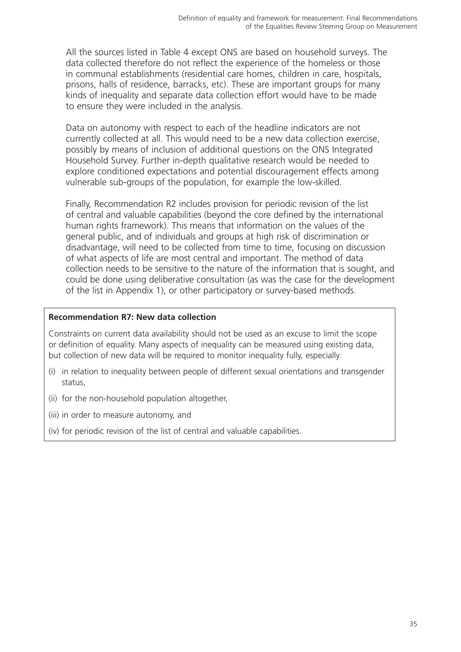All the sources listed in Table 4 except ONS are based on household surveys. The data collected therefore do not reflect the experience of the homeless or those in communal establishments (residential care homes, children in care, hospitals, prisons, halls of residence, barracks, etc). These are important groups for many kinds of inequality and separate data collection effort would have to be made to ensure they were included in the analysis.

Data on autonomy with respect to each of the headline indicators are not currently collected at all. This would need to be a new data collection exercise, possibly by means of inclusion of additional questions on the ONS Integrated Household Survey. Further in-depth qualitative research would be needed to explore conditioned expectations and potential discouragement effects among vulnerable sub-groups of the population, for example the low-skilled.

Finally, Recommendation R2 includes provision for periodic revision of the list of central and valuable capabilities (beyond the core defined by the international human rights framework). This means that information on the values of the general public, and of individuals and groups at high risk of discrimination or disadvantage, will need to be collected from time to time, focusing on discussion of what aspects of life are most central and important. The method of data collection needs to be sensitive to the nature of the information that is sought, and could be done using deliberative consultation (as was the case for the development of the list in Appendix 1), or other participatory or survey-based methods.

#### **Recommendation R7: New data collection**

Constraints on current data availability should not be used as an excuse to limit the scope or definition of equality. Many aspects of inequality can be measured using existing data, but collection of new data will be required to monitor inequality fully, especially:

- (i) in relation to inequality between people of different sexual orientations and transgender status,
- (ii) for the non-household population altogether,
- (iii) in order to measure autonomy, and
- (iv) for periodic revision of the list of central and valuable capabilities.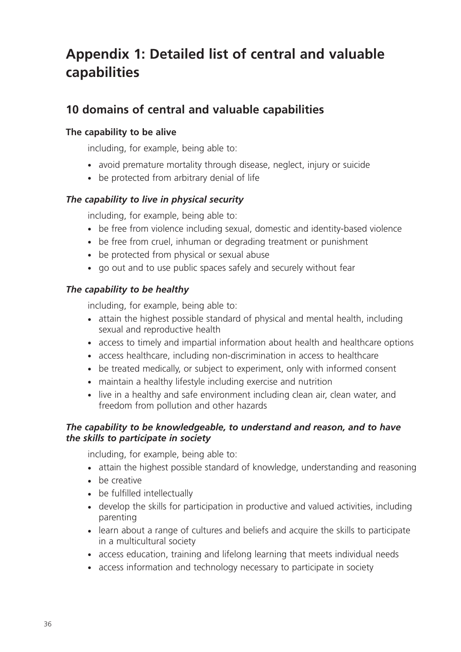# **Appendix 1: Detailed list of central and valuable capabilities**

# **10 domains of central and valuable capabilities**

## **The capability to be alive**

including, for example, being able to:

- avoid premature mortality through disease, neglect, injury or suicide
- be protected from arbitrary denial of life

## *The capability to live in physical security*

including, for example, being able to:

- be free from violence including sexual, domestic and identity-based violence
- be free from cruel, inhuman or degrading treatment or punishment
- be protected from physical or sexual abuse
- go out and to use public spaces safely and securely without fear

## *The capability to be healthy*

including, for example, being able to:

- attain the highest possible standard of physical and mental health, including sexual and reproductive health
- access to timely and impartial information about health and healthcare options
- access healthcare, including non-discrimination in access to healthcare
- be treated medically, or subject to experiment, only with informed consent
- maintain a healthy lifestyle including exercise and nutrition
- live in a healthy and safe environment including clean air, clean water, and freedom from pollution and other hazards

### *The capability to be knowledgeable, to understand and reason, and to have the skills to participate in society*

including, for example, being able to:

- attain the highest possible standard of knowledge, understanding and reasoning
- be creative
- be fulfilled intellectually
- develop the skills for participation in productive and valued activities, including parenting
- learn about a range of cultures and beliefs and acquire the skills to participate in a multicultural society
- access education, training and lifelong learning that meets individual needs
- access information and technology necessary to participate in society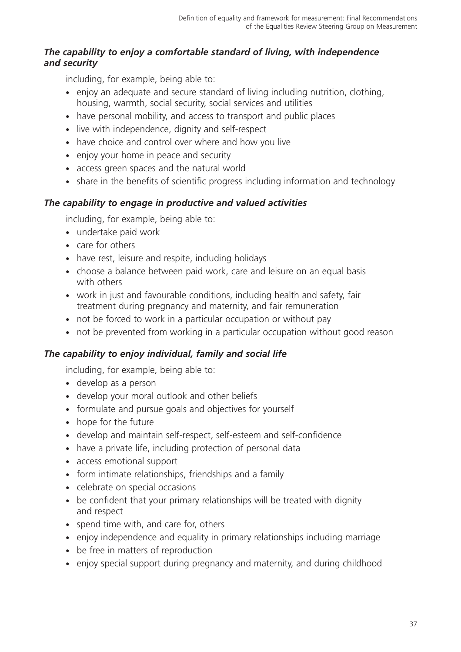## *The capability to enjoy a comfortable standard of living, with independence and security*

including, for example, being able to:

- enjoy an adequate and secure standard of living including nutrition, clothing, housing, warmth, social security, social services and utilities
- have personal mobility, and access to transport and public places
- live with independence, dignity and self-respect
- have choice and control over where and how you live
- enjoy your home in peace and security
- access green spaces and the natural world
- share in the benefits of scientific progress including information and technology

## *The capability to engage in productive and valued activities*

including, for example, being able to:

- undertake paid work
- care for others
- have rest, leisure and respite, including holidays
- choose a balance between paid work, care and leisure on an equal basis with others
- work in just and favourable conditions, including health and safety, fair treatment during pregnancy and maternity, and fair remuneration
- not be forced to work in a particular occupation or without pay
- not be prevented from working in a particular occupation without good reason

## *The capability to enjoy individual, family and social life*

including, for example, being able to:

- develop as a person
- develop your moral outlook and other beliefs
- formulate and pursue goals and objectives for yourself
- hope for the future
- develop and maintain self-respect, self-esteem and self-confidence
- have a private life, including protection of personal data
- access emotional support
- form intimate relationships, friendships and a family
- celebrate on special occasions
- be confident that your primary relationships will be treated with dignity and respect
- spend time with, and care for, others
- enjoy independence and equality in primary relationships including marriage
- be free in matters of reproduction
- enjoy special support during pregnancy and maternity, and during childhood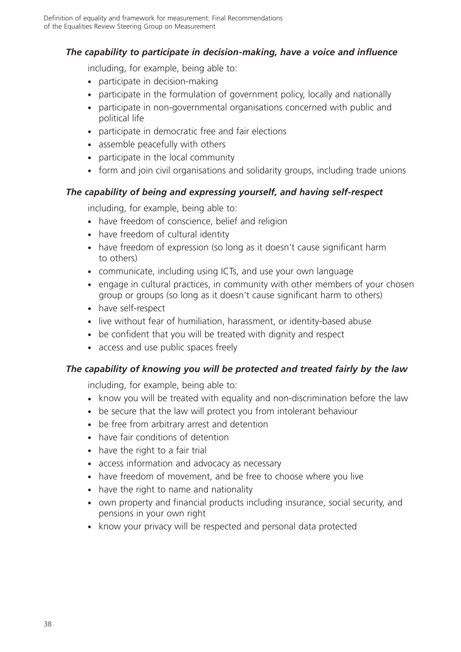## *The capability to participate in decision-making, have a voice and influence*

including, for example, being able to:

- participate in decision-making
- participate in the formulation of government policy, locally and nationally
- participate in non-governmental organisations concerned with public and political life
- participate in democratic free and fair elections
- assemble peacefully with others
- participate in the local community
- form and join civil organisations and solidarity groups, including trade unions

### *The capability of being and expressing yourself, and having self-respect*

including, for example, being able to:

- have freedom of conscience, belief and religion
- have freedom of cultural identity
- have freedom of expression (so long as it doesn't cause significant harm to others)
- communicate, including using ICTs, and use your own language
- engage in cultural practices, in community with other members of your chosen group or groups (so long as it doesn't cause significant harm to others)
- have self-respect
- live without fear of humiliation, harassment, or identity-based abuse
- be confident that you will be treated with dignity and respect
- access and use public spaces freely

### *The capability of knowing you will be protected and treated fairly by the law*

including, for example, being able to:

- know you will be treated with equality and non-discrimination before the law
- be secure that the law will protect you from intolerant behaviour
- be free from arbitrary arrest and detention
- have fair conditions of detention
- have the right to a fair trial
- access information and advocacy as necessary
- have freedom of movement, and be free to choose where you live
- have the right to name and nationality
- own property and financial products including insurance, social security, and pensions in your own right
- know your privacy will be respected and personal data protected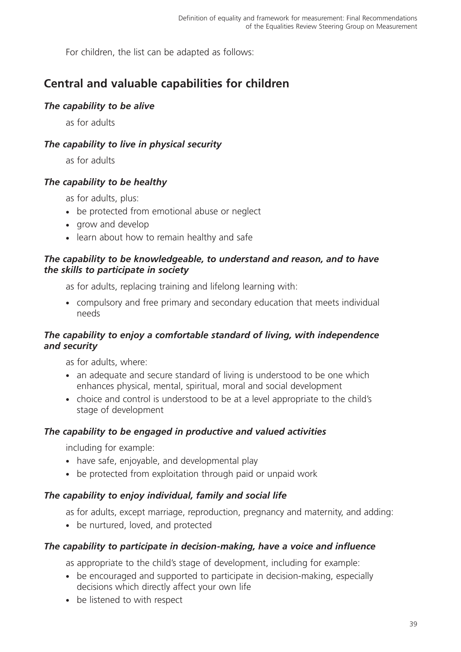For children, the list can be adapted as follows:

# **Central and valuable capabilities for children**

### *The capability to be alive*

as for adults

## *The capability to live in physical security*

as for adults

## *The capability to be healthy*

as for adults, plus:

- be protected from emotional abuse or neglect
- grow and develop
- learn about how to remain healthy and safe

### *The capability to be knowledgeable, to understand and reason, and to have the skills to participate in society*

as for adults, replacing training and lifelong learning with:

- compulsory and free primary and secondary education that meets individual needs

## *The capability to enjoy a comfortable standard of living, with independence and security*

as for adults, where:

- an adequate and secure standard of living is understood to be one which enhances physical, mental, spiritual, moral and social development
- choice and control is understood to be at a level appropriate to the child's stage of development

### *The capability to be engaged in productive and valued activities*

including for example:

- have safe, enjoyable, and developmental play
- be protected from exploitation through paid or unpaid work

## *The capability to enjoy individual, family and social life*

as for adults, except marriage, reproduction, pregnancy and maternity, and adding:

• be nurtured, loved, and protected

### *The capability to participate in decision-making, have a voice and influence*

as appropriate to the child's stage of development, including for example:

- be encouraged and supported to participate in decision-making, especially decisions which directly affect your own life
- be listened to with respect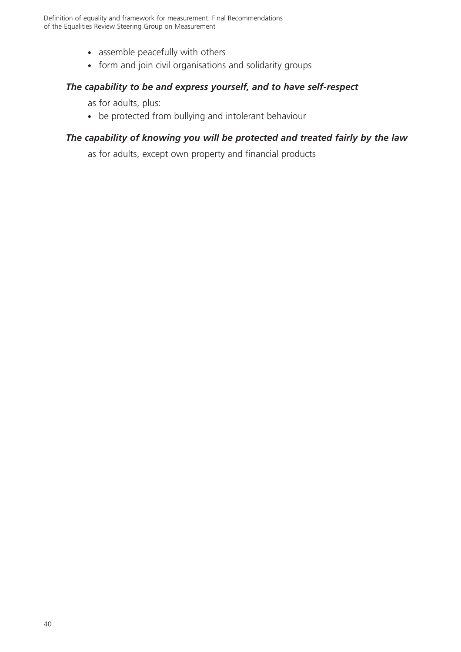- assemble peacefully with others
- form and join civil organisations and solidarity groups

### *The capability to be and express yourself, and to have self-respect*

as for adults, plus:

• be protected from bullying and intolerant behaviour

### *The capability of knowing you will be protected and treated fairly by the law*

as for adults, except own property and financial products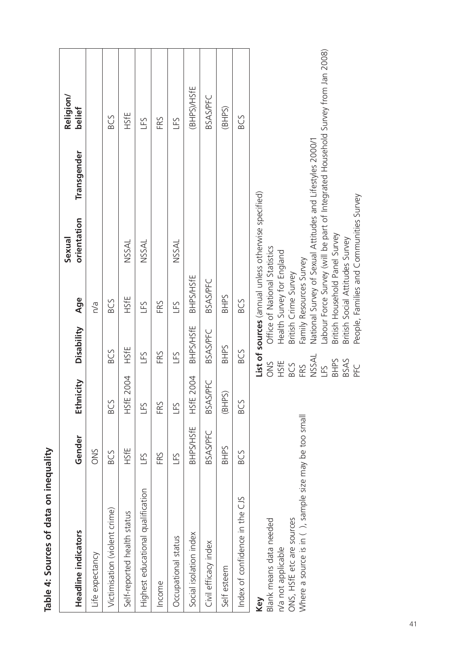| Headline indicators                                    | Gender           | Ethnicity       | Disability       | Age                             | orientation<br>Sexual                               | Transgender                                               | Religion/<br>bellef                                                             |  |
|--------------------------------------------------------|------------------|-----------------|------------------|---------------------------------|-----------------------------------------------------|-----------------------------------------------------------|---------------------------------------------------------------------------------|--|
| Life expectancy                                        | ONS              |                 |                  | n/a                             |                                                     |                                                           |                                                                                 |  |
| Victimisation (violent crime)                          | BCS              | BCS             | BCS              | <b>BCS</b>                      |                                                     |                                                           | BCS                                                                             |  |
| Self-reported health status                            | HSfE             | 2004<br>HSfE    | HSfE             | HSfE                            | <b>NSSAL</b>                                        |                                                           | HSfE                                                                            |  |
| Highest educational qualification                      | LFS              | <b>GHT</b>      | LFS              | LFS                             | <b>NSSAL</b>                                        |                                                           | LFS                                                                             |  |
| Income                                                 | FRS              | FRS             | FRS              | FRS                             |                                                     |                                                           | FRS                                                                             |  |
| Occupational status                                    | LFS              | <b>GHT</b>      | <b>GHT</b>       | LFS                             | <b>NSSAL</b>                                        |                                                           | LFS                                                                             |  |
| Social isolation index                                 | <b>BHPS/HSfE</b> | 2004<br>HSfE:   | <b>BHPS/HSfE</b> | <b>BHPS/HSFE</b>                |                                                     |                                                           | <b>BHPS//HSfE</b>                                                               |  |
| Civil efficacy index                                   | <b>BSAS/PFC</b>  | <b>BSAS/PFC</b> | <b>BSAS/PFC</b>  | <b>BSAS/PFC</b>                 |                                                     |                                                           | <b>BSAS/PFC</b>                                                                 |  |
| Self esteem                                            | <b>SHHS</b>      | (BHPS)          | <b>BHPS</b>      | <b>BHPS</b>                     |                                                     |                                                           | (BHPS)                                                                          |  |
| Index of confidence in the CJS                         | BCS              | BCS             | BCS              | BCS                             |                                                     |                                                           | BCS                                                                             |  |
| Key                                                    |                  |                 |                  |                                 | List of sources (annual unless otherwise specified) |                                                           |                                                                                 |  |
| Blank means data needed                                |                  |                 | <b>SNO</b>       | Office of National Statistics   |                                                     |                                                           |                                                                                 |  |
| n/a not applicable                                     |                  |                 | HSfE             | Health Survey for England       |                                                     |                                                           |                                                                                 |  |
| ONS, HSfE etc are sources                              |                  |                 | BCS              | British Crime Survey            |                                                     |                                                           |                                                                                 |  |
| Where a source is in ( ), sample size may be too small |                  | FRS             |                  | Family Resources Survey         |                                                     |                                                           |                                                                                 |  |
|                                                        |                  |                 | <b>NSSAL</b>     |                                 |                                                     | National Survey of Sexual Attitudes and Lifestyles 2000/1 |                                                                                 |  |
|                                                        |                  |                 | LFS              |                                 |                                                     |                                                           | Labour Force Survey (will be part of Integrated Household Survey from Jan 2008) |  |
|                                                        |                  |                 | <b>SHHS</b>      | British Household Panel Survey  |                                                     |                                                           |                                                                                 |  |
|                                                        |                  |                 | BSAS             | British Social Attitudes Survey |                                                     |                                                           |                                                                                 |  |
|                                                        |                  |                 | PFC              |                                 | People, Families and Communities Survey             |                                                           |                                                                                 |  |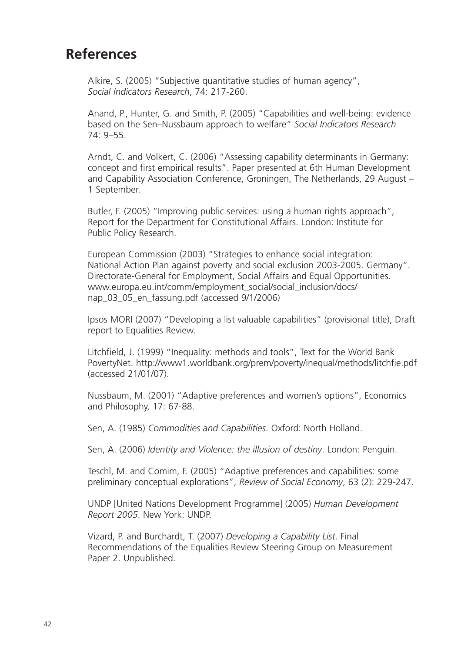# **References**

Alkire, S. (2005) "Subjective quantitative studies of human agency", *Social Indicators Research*, 74: 217-260.

Anand, P., Hunter, G. and Smith, P. (2005) "Capabilities and well-being: evidence based on the Sen–Nussbaum approach to welfare" *Social Indicators Research* 74: 9–55.

Arndt, C. and Volkert, C. (2006) "Assessing capability determinants in Germany: concept and first empirical results". Paper presented at 6th Human Development and Capability Association Conference, Groningen, The Netherlands, 29 August – 1 September.

Butler, F. (2005) "Improving public services: using a human rights approach", Report for the Department for Constitutional Affairs. London: Institute for Public Policy Research.

European Commission (2003) "Strategies to enhance social integration: National Action Plan against poverty and social exclusion 2003-2005. Germany". Directorate-General for Employment, Social Affairs and Equal Opportunities. www.europa.eu.int/comm/employment\_social/social\_inclusion/docs/ nap\_03\_05\_en\_fassung.pdf (accessed 9/1/2006)

Ipsos MORI (2007) "Developing a list valuable capabilities" (provisional title), Draft report to Equalities Review.

Litchfield, J. (1999) "Inequality: methods and tools", Text for the World Bank PovertyNet. http://www1.worldbank.org/prem/poverty/inequal/methods/litchfie.pdf (accessed 21/01/07).

Nussbaum, M. (2001) "Adaptive preferences and women's options", Economics and Philosophy, 17: 67-88.

Sen, A. (1985) *Commodities and Capabilities*. Oxford: North Holland.

Sen, A. (2006) *Identity and Violence: the illusion of destiny*. London: Penguin.

Teschl, M. and Comim, F. (2005) "Adaptive preferences and capabilities: some preliminary conceptual explorations", *Review of Social Economy*, 63 (2): 229-247.

UNDP [United Nations Development Programme] (2005) *Human Development Report 2005*. New York: UNDP.

Vizard, P. and Burchardt, T. (2007) *Developing a Capability List*. Final Recommendations of the Equalities Review Steering Group on Measurement Paper 2. Unpublished.